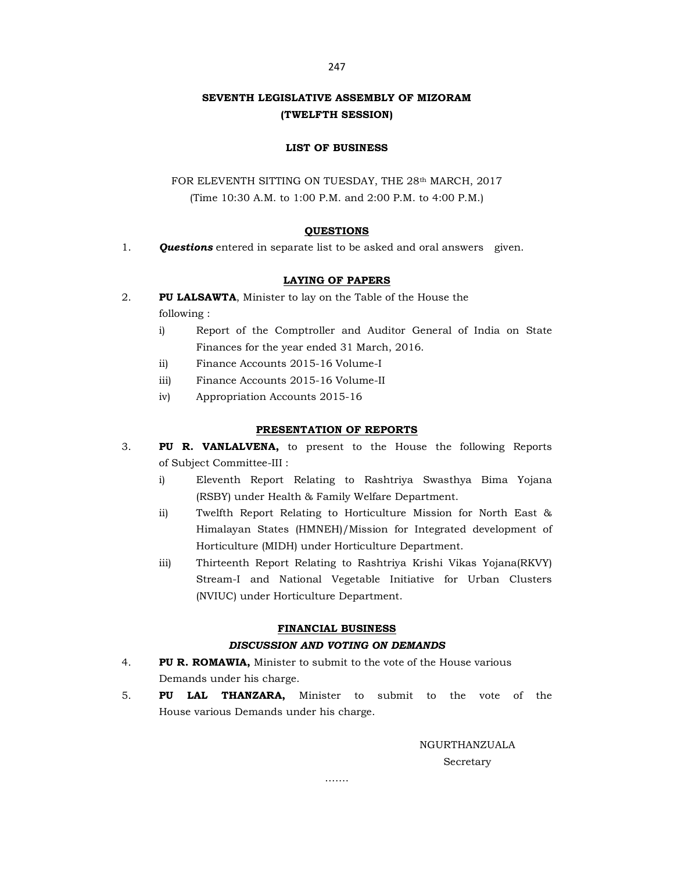# SEVENTH LEGISLATIVE ASSEMBLY OF MIZORAM (TWELFTH SESSION)

### LIST OF BUSINESS

FOR ELEVENTH SITTING ON TUESDAY, THE 28th MARCH, 2017 (Time 10:30 A.M. to 1:00 P.M. and 2:00 P.M. to 4:00 P.M.)

### **QUESTIONS**

1. **Questions** entered in separate list to be asked and oral answers given.

### LAYING OF PAPERS

- 2. PU LALSAWTA, Minister to lay on the Table of the House the following :
	- i) Report of the Comptroller and Auditor General of India on State Finances for the year ended 31 March, 2016.
	- ii) Finance Accounts 2015-16 Volume-I
	- iii) Finance Accounts 2015-16 Volume-II
	- iv) Appropriation Accounts 2015-16

#### PRESENTATION OF REPORTS

- 3. PU R. VANLALVENA, to present to the House the following Reports of Subject Committee-III :
	- i) Eleventh Report Relating to Rashtriya Swasthya Bima Yojana (RSBY) under Health & Family Welfare Department.
	- ii) Twelfth Report Relating to Horticulture Mission for North East & Himalayan States (HMNEH)/Mission for Integrated development of Horticulture (MIDH) under Horticulture Department.
	- iii) Thirteenth Report Relating to Rashtriya Krishi Vikas Yojana(RKVY) Stream-I and National Vegetable Initiative for Urban Clusters (NVIUC) under Horticulture Department.

### FINANCIAL BUSINESS

### DISCUSSION AND VOTING ON DEMANDS

- 4. PU R. ROMAWIA, Minister to submit to the vote of the House various Demands under his charge.
- 5. PU LAL THANZARA, Minister to submit to the vote of the House various Demands under his charge.

……

NGURTHANZUALA Secretary

247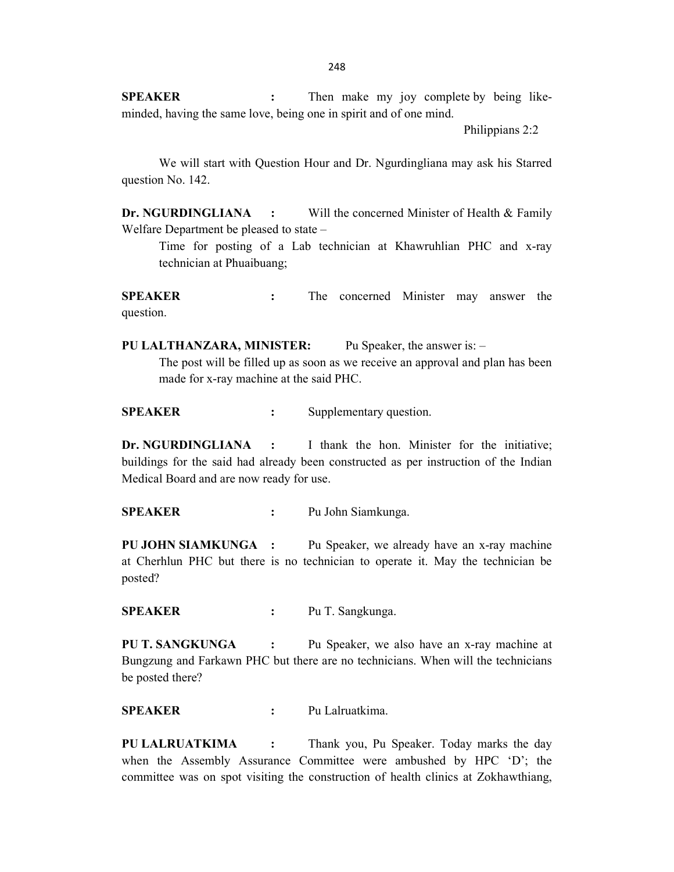SPEAKER : Then make my joy complete by being likeminded, having the same love, being one in spirit and of one mind.

Philippians 2:2

 We will start with Question Hour and Dr. Ngurdingliana may ask his Starred question No. 142.

Dr. NGURDINGLIANA : Will the concerned Minister of Health & Family Welfare Department be pleased to state –

 Time for posting of a Lab technician at Khawruhlian PHC and x-ray technician at Phuaibuang;

SPEAKER : The concerned Minister may answer the question.

PU LALTHANZARA, MINISTER: Pu Speaker, the answer is: –

 The post will be filled up as soon as we receive an approval and plan has been made for x-ray machine at the said PHC.

SPEAKER : Supplementary question.

Dr. NGURDINGLIANA : I thank the hon. Minister for the initiative: buildings for the said had already been constructed as per instruction of the Indian Medical Board and are now ready for use.

SPEAKER : Pu John Siamkunga.

PU JOHN SIAMKUNGA : Pu Speaker, we already have an x-ray machine at Cherhlun PHC but there is no technician to operate it. May the technician be posted?

SPEAKER : Pu T. Sangkunga.

PU T. SANGKUNGA : Pu Speaker, we also have an x-ray machine at Bungzung and Farkawn PHC but there are no technicians. When will the technicians be posted there?

SPEAKER : Pu Lalruatkima.

PU LALRUATKIMA : Thank you, Pu Speaker. Today marks the day when the Assembly Assurance Committee were ambushed by HPC 'D'; the committee was on spot visiting the construction of health clinics at Zokhawthiang,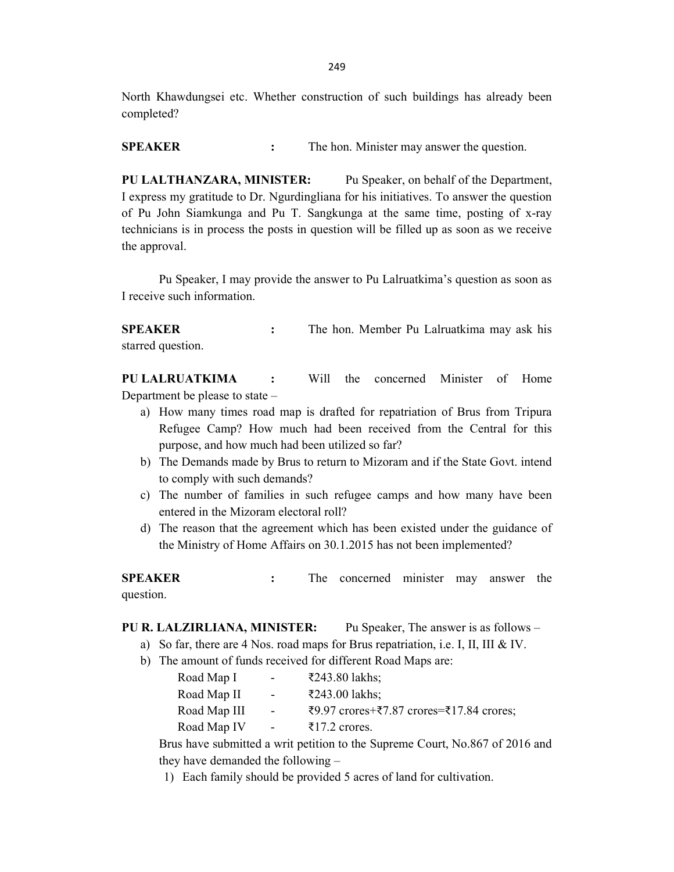North Khawdungsei etc. Whether construction of such buildings has already been completed?

SPEAKER : The hon. Minister may answer the question.

PU LALTHANZARA, MINISTER: Pu Speaker, on behalf of the Department, I express my gratitude to Dr. Ngurdingliana for his initiatives. To answer the question of Pu John Siamkunga and Pu T. Sangkunga at the same time, posting of x-ray technicians is in process the posts in question will be filled up as soon as we receive the approval.

Pu Speaker, I may provide the answer to Pu Lalruatkima's question as soon as I receive such information.

SPEAKER : The hon. Member Pu Lalruatkima may ask his starred question.

PU LALRUATKIMA : Will the concerned Minister of Home Department be please to state –

- a) How many times road map is drafted for repatriation of Brus from Tripura Refugee Camp? How much had been received from the Central for this purpose, and how much had been utilized so far?
- b) The Demands made by Brus to return to Mizoram and if the State Govt. intend to comply with such demands?
- c) The number of families in such refugee camps and how many have been entered in the Mizoram electoral roll?
- d) The reason that the agreement which has been existed under the guidance of the Ministry of Home Affairs on 30.1.2015 has not been implemented?

SPEAKER : The concerned minister may answer the question.

## PU R. LALZIRLIANA, MINISTER: Pu Speaker, The answer is as follows –

- a) So far, there are 4 Nos. road maps for Brus repatriation, i.e. I, II, III & IV.
- b) The amount of funds received for different Road Maps are:

| Road Map I   | $\sim 100$       | ₹243.80 lakhs;                           |
|--------------|------------------|------------------------------------------|
| Road Map II  | $\sim 100$       | ₹243.00 lakhs;                           |
| Road Map III | $\sim$ 100 $\mu$ | ₹9.97 crores+₹7.87 crores=₹17.84 crores; |
| Road Map IV  | $\sim 100$       | ₹17.2 crores.                            |

Brus have submitted a writ petition to the Supreme Court, No.867 of 2016 and they have demanded the following –

1) Each family should be provided 5 acres of land for cultivation.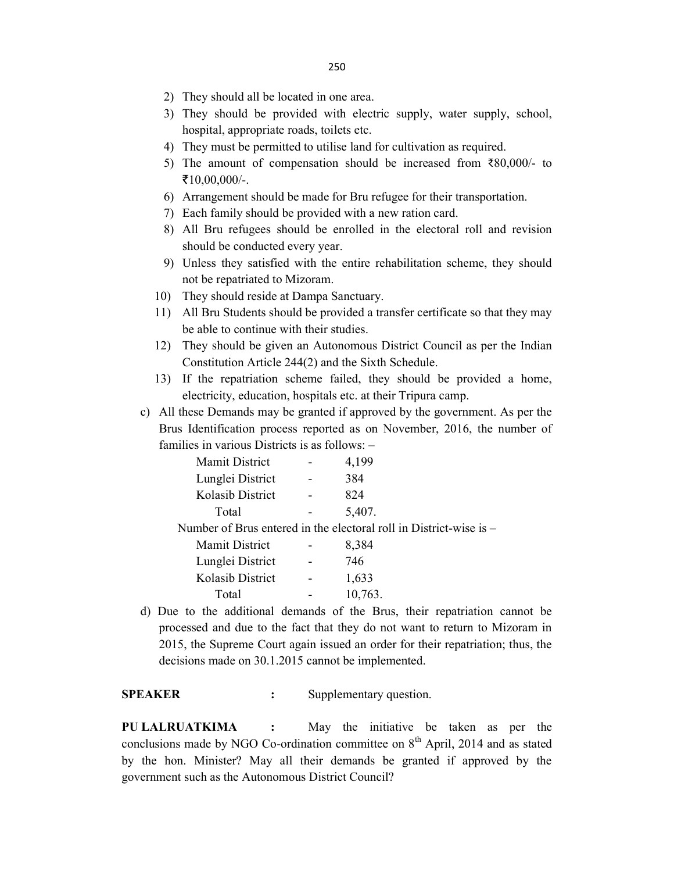- 2) They should all be located in one area.
- 3) They should be provided with electric supply, water supply, school, hospital, appropriate roads, toilets etc.
- 4) They must be permitted to utilise land for cultivation as required.
- 5) The amount of compensation should be increased from ₹80,000/- to  $\bar{5}10,00,000/$ -.
- 6) Arrangement should be made for Bru refugee for their transportation.
- 7) Each family should be provided with a new ration card.
- 8) All Bru refugees should be enrolled in the electoral roll and revision should be conducted every year.
- 9) Unless they satisfied with the entire rehabilitation scheme, they should not be repatriated to Mizoram.
- 10) They should reside at Dampa Sanctuary.
- 11) All Bru Students should be provided a transfer certificate so that they may be able to continue with their studies.
- 12) They should be given an Autonomous District Council as per the Indian Constitution Article 244(2) and the Sixth Schedule.
- 13) If the repatriation scheme failed, they should be provided a home, electricity, education, hospitals etc. at their Tripura camp.
- c) All these Demands may be granted if approved by the government. As per the Brus Identification process reported as on November, 2016, the number of families in various Districts is as follows: –

| Mamit District   |                | 4,199                                                                |
|------------------|----------------|----------------------------------------------------------------------|
| Lunglei District | $\blacksquare$ | 384                                                                  |
| Kolasib District |                | 824                                                                  |
| Total            |                | 5,407.                                                               |
|                  |                | Number of Brus entered in the electoral roll in District-wise is $-$ |
|                  |                |                                                                      |

| Mamit District   | 8,384   |
|------------------|---------|
| Lunglei District | 746     |
| Kolasib District | 1,633   |
| Total            | 10,763. |

d) Due to the additional demands of the Brus, their repatriation cannot be processed and due to the fact that they do not want to return to Mizoram in 2015, the Supreme Court again issued an order for their repatriation; thus, the decisions made on 30.1.2015 cannot be implemented.

SPEAKER : Supplementary question.

PU LALRUATKIMA : May the initiative be taken as per the conclusions made by NGO Co-ordination committee on  $8<sup>th</sup>$  April, 2014 and as stated by the hon. Minister? May all their demands be granted if approved by the government such as the Autonomous District Council?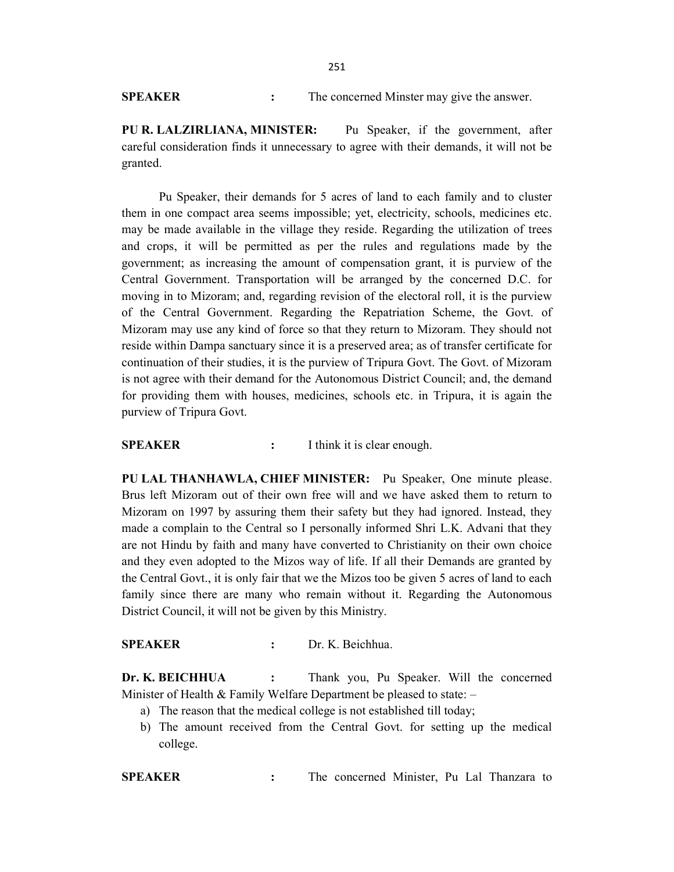SPEAKER : The concerned Minster may give the answer.

PU R. LALZIRLIANA, MINISTER: Pu Speaker, if the government, after careful consideration finds it unnecessary to agree with their demands, it will not be granted.

 Pu Speaker, their demands for 5 acres of land to each family and to cluster them in one compact area seems impossible; yet, electricity, schools, medicines etc. may be made available in the village they reside. Regarding the utilization of trees and crops, it will be permitted as per the rules and regulations made by the government; as increasing the amount of compensation grant, it is purview of the Central Government. Transportation will be arranged by the concerned D.C. for moving in to Mizoram; and, regarding revision of the electoral roll, it is the purview of the Central Government. Regarding the Repatriation Scheme, the Govt. of Mizoram may use any kind of force so that they return to Mizoram. They should not reside within Dampa sanctuary since it is a preserved area; as of transfer certificate for continuation of their studies, it is the purview of Tripura Govt. The Govt. of Mizoram is not agree with their demand for the Autonomous District Council; and, the demand for providing them with houses, medicines, schools etc. in Tripura, it is again the purview of Tripura Govt.

SPEAKER : I think it is clear enough.

PU LAL THANHAWLA, CHIEF MINISTER: Pu Speaker, One minute please. Brus left Mizoram out of their own free will and we have asked them to return to Mizoram on 1997 by assuring them their safety but they had ignored. Instead, they made a complain to the Central so I personally informed Shri L.K. Advani that they are not Hindu by faith and many have converted to Christianity on their own choice and they even adopted to the Mizos way of life. If all their Demands are granted by the Central Govt., it is only fair that we the Mizos too be given 5 acres of land to each family since there are many who remain without it. Regarding the Autonomous District Council, it will not be given by this Ministry.

# SPEAKER : Dr. K. Beichhua.

Dr. K. BEICHHUA : Thank you, Pu Speaker. Will the concerned Minister of Health  $&$  Family Welfare Department be pleased to state:  $-$ 

- a) The reason that the medical college is not established till today;
- b) The amount received from the Central Govt. for setting up the medical college.

SPEAKER : The concerned Minister, Pu Lal Thanzara to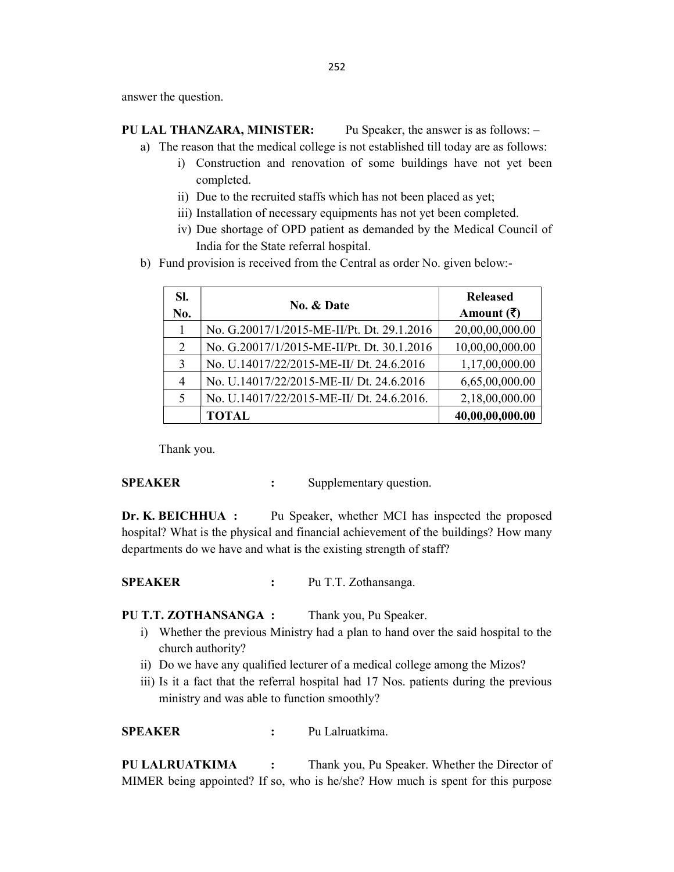answer the question.

# PU LAL THANZARA, MINISTER: Pu Speaker, the answer is as follows: –

- a) The reason that the medical college is not established till today are as follows:
	- i) Construction and renovation of some buildings have not yet been completed.
	- ii) Due to the recruited staffs which has not been placed as yet;
	- iii) Installation of necessary equipments has not yet been completed.
	- iv) Due shortage of OPD patient as demanded by the Medical Council of India for the State referral hospital.
- b) Fund provision is received from the Central as order No. given below:-

| SI.<br>No. | <b>No. &amp; Date</b>                      | <b>Released</b><br>Amount $(\bar{\zeta})$ |
|------------|--------------------------------------------|-------------------------------------------|
|            | No. G.20017/1/2015-ME-II/Pt. Dt. 29.1.2016 | 20,00,00,000.00                           |
| 2          | No. G.20017/1/2015-ME-II/Pt. Dt. 30.1.2016 | 10,00,00,000.00                           |
| 3          | No. U.14017/22/2015-ME-II/ Dt. 24.6.2016   | 1,17,00,000.00                            |
| 4          | No. U.14017/22/2015-ME-II/ Dt. 24.6.2016   | 6,65,00,000.00                            |
| 5          | No. U.14017/22/2015-ME-II/ Dt. 24.6.2016.  | 2,18,00,000.00                            |
|            | <b>TOTAL</b>                               | 40,00,00,000.00                           |

Thank you.

## SPEAKER : Supplementary question.

Dr. K. BEICHHUA : Pu Speaker, whether MCI has inspected the proposed hospital? What is the physical and financial achievement of the buildings? How many departments do we have and what is the existing strength of staff?

# SPEAKER : Pu T.T. Zothansanga.

PU T.T. ZOTHANSANGA : Thank you, Pu Speaker.

- i) Whether the previous Ministry had a plan to hand over the said hospital to the church authority?
- ii) Do we have any qualified lecturer of a medical college among the Mizos?
- iii) Is it a fact that the referral hospital had 17 Nos. patients during the previous ministry and was able to function smoothly?

SPEAKER : Pu Lalruatkima.

PU LALRUATKIMA : Thank you, Pu Speaker. Whether the Director of MIMER being appointed? If so, who is he/she? How much is spent for this purpose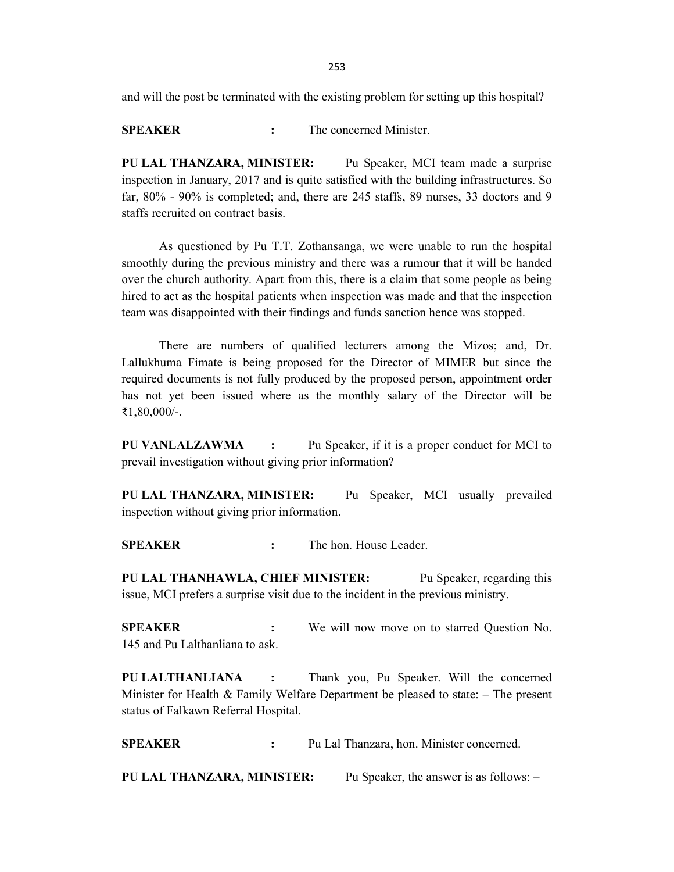and will the post be terminated with the existing problem for setting up this hospital?

SPEAKER : The concerned Minister.

PU LAL THANZARA, MINISTER: Pu Speaker, MCI team made a surprise inspection in January, 2017 and is quite satisfied with the building infrastructures. So far, 80% - 90% is completed; and, there are 245 staffs, 89 nurses, 33 doctors and 9 staffs recruited on contract basis.

 As questioned by Pu T.T. Zothansanga, we were unable to run the hospital smoothly during the previous ministry and there was a rumour that it will be handed over the church authority. Apart from this, there is a claim that some people as being hired to act as the hospital patients when inspection was made and that the inspection team was disappointed with their findings and funds sanction hence was stopped.

 There are numbers of qualified lecturers among the Mizos; and, Dr. Lallukhuma Fimate is being proposed for the Director of MIMER but since the required documents is not fully produced by the proposed person, appointment order has not yet been issued where as the monthly salary of the Director will be ₹1,80,000/-.

PU VANLALZAWMA : Pu Speaker, if it is a proper conduct for MCI to prevail investigation without giving prior information?

PU LAL THANZARA, MINISTER: Pu Speaker, MCI usually prevailed inspection without giving prior information.

SPEAKER : The hon. House Leader.

PU LAL THANHAWLA, CHIEF MINISTER: Pu Speaker, regarding this issue, MCI prefers a surprise visit due to the incident in the previous ministry.

SPEAKER : We will now move on to starred Question No. 145 and Pu Lalthanliana to ask.

PU LALTHANLIANA : Thank you, Pu Speaker. Will the concerned Minister for Health  $\&$  Family Welfare Department be pleased to state:  $-$  The present status of Falkawn Referral Hospital.

SPEAKER : Pu Lal Thanzara, hon. Minister concerned.

PU LAL THANZARA, MINISTER: Pu Speaker, the answer is as follows: –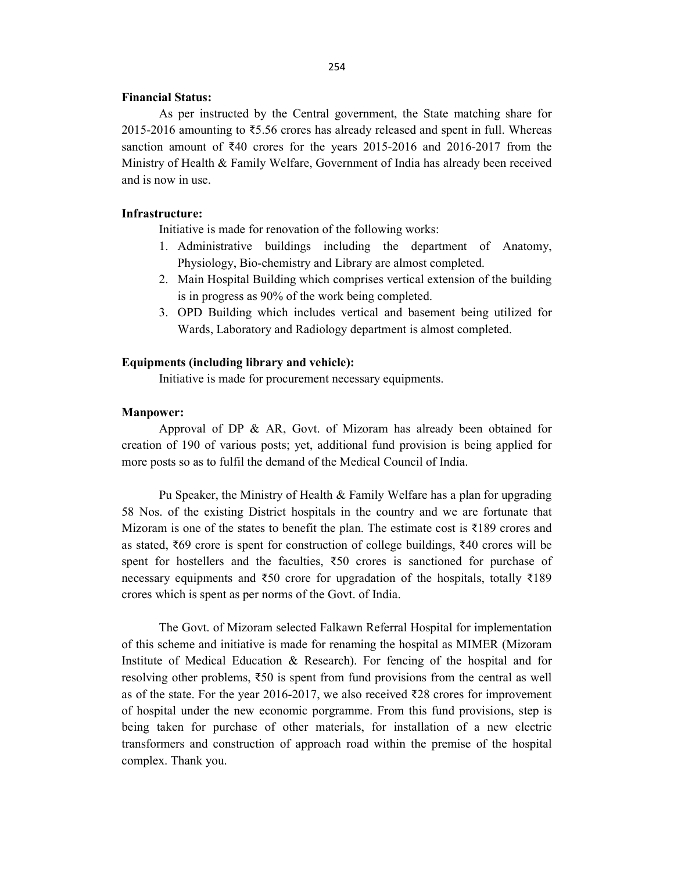### Financial Status:

 As per instructed by the Central government, the State matching share for 2015-2016 amounting to ₹5.56 crores has already released and spent in full. Whereas sanction amount of ₹40 crores for the years 2015-2016 and 2016-2017 from the Ministry of Health & Family Welfare, Government of India has already been received and is now in use.

## Infrastructure:

Initiative is made for renovation of the following works:

- 1. Administrative buildings including the department of Anatomy, Physiology, Bio-chemistry and Library are almost completed.
- 2. Main Hospital Building which comprises vertical extension of the building is in progress as 90% of the work being completed.
- 3. OPD Building which includes vertical and basement being utilized for Wards, Laboratory and Radiology department is almost completed.

#### Equipments (including library and vehicle):

Initiative is made for procurement necessary equipments.

#### Manpower:

 Approval of DP & AR, Govt. of Mizoram has already been obtained for creation of 190 of various posts; yet, additional fund provision is being applied for more posts so as to fulfil the demand of the Medical Council of India.

 Pu Speaker, the Ministry of Health & Family Welfare has a plan for upgrading 58 Nos. of the existing District hospitals in the country and we are fortunate that Mizoram is one of the states to benefit the plan. The estimate cost is  $\bar{\xi}$ 189 crores and as stated, ₹69 crore is spent for construction of college buildings, ₹40 crores will be spent for hostellers and the faculties,  $\overline{550}$  crores is sanctioned for purchase of necessary equipments and ₹50 crore for upgradation of the hospitals, totally ₹189 crores which is spent as per norms of the Govt. of India.

 The Govt. of Mizoram selected Falkawn Referral Hospital for implementation of this scheme and initiative is made for renaming the hospital as MIMER (Mizoram Institute of Medical Education & Research). For fencing of the hospital and for resolving other problems, ₹50 is spent from fund provisions from the central as well as of the state. For the year 2016-2017, we also received ₹28 crores for improvement of hospital under the new economic porgramme. From this fund provisions, step is being taken for purchase of other materials, for installation of a new electric transformers and construction of approach road within the premise of the hospital complex. Thank you.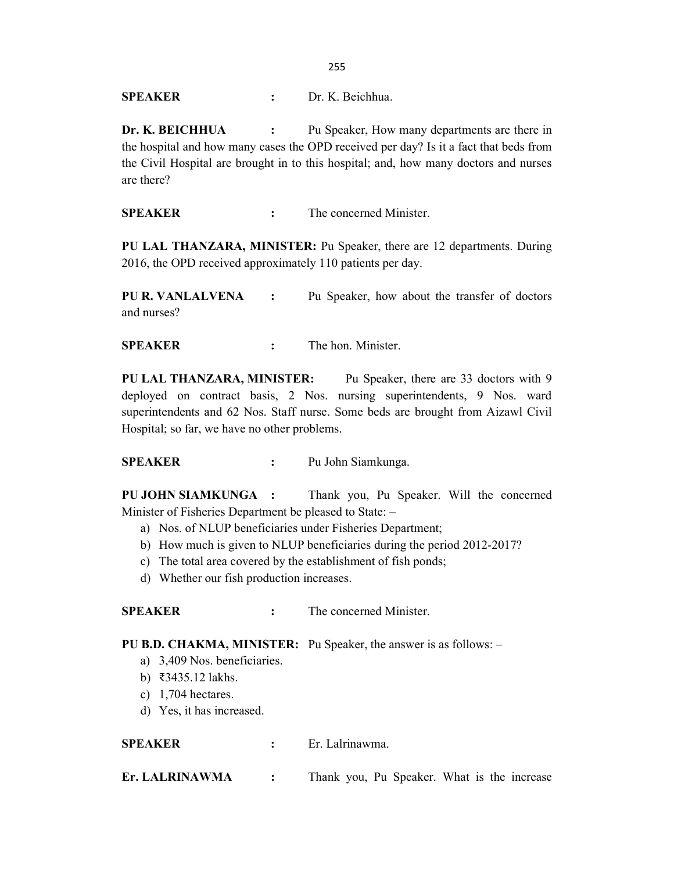255

SPEAKER : Dr. K. Beichhua.

Dr. K. BEICHHUA : Pu Speaker, How many departments are there in the hospital and how many cases the OPD received per day? Is it a fact that beds from the Civil Hospital are brought in to this hospital; and, how many doctors and nurses are there?

SPEAKER : The concerned Minister.

PU LAL THANZARA, MINISTER: Pu Speaker, there are 12 departments. During 2016, the OPD received approximately 110 patients per day.

PU R. VANLALVENA : Pu Speaker, how about the transfer of doctors and nurses?

SPEAKER : The hon. Minister.

PU LAL THANZARA, MINISTER: Pu Speaker, there are 33 doctors with 9 deployed on contract basis, 2 Nos. nursing superintendents, 9 Nos. ward superintendents and 62 Nos. Staff nurse. Some beds are brought from Aizawl Civil Hospital; so far, we have no other problems.

SPEAKER : Pu John Siamkunga.

PU JOHN SIAMKUNGA : Thank you, Pu Speaker. Will the concerned Minister of Fisheries Department be pleased to State: –

- a) Nos. of NLUP beneficiaries under Fisheries Department;
- b) How much is given to NLUP beneficiaries during the period 2012-2017?
- c) The total area covered by the establishment of fish ponds;
- d) Whether our fish production increases.

SPEAKER : The concerned Minister.

PU B.D. CHAKMA, MINISTER: Pu Speaker, the answer is as follows: –

- a) 3,409 Nos. beneficiaries.
- b) ₹3435.12 lakhs.
- c) 1,704 hectares.
- d) Yes, it has increased.

SPEAKER : Er. Lalrinawma.

Er. LALRINAWMA : Thank you, Pu Speaker. What is the increase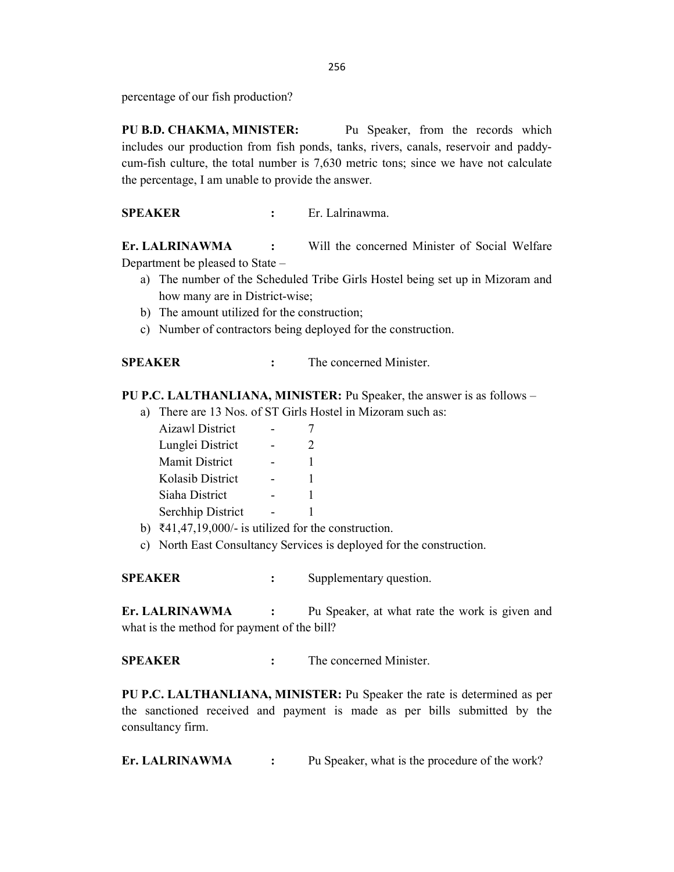percentage of our fish production?

PU B.D. CHAKMA, MINISTER: Pu Speaker, from the records which includes our production from fish ponds, tanks, rivers, canals, reservoir and paddycum-fish culture, the total number is 7,630 metric tons; since we have not calculate the percentage, I am unable to provide the answer.

SPEAKER : Er. Lalrinawma.

Er. LALRINAWMA : Will the concerned Minister of Social Welfare Department be pleased to State –

- a) The number of the Scheduled Tribe Girls Hostel being set up in Mizoram and how many are in District-wise;
- b) The amount utilized for the construction;
- c) Number of contractors being deployed for the construction.

| SPEAKER | The concerned Minister. |
|---------|-------------------------|
|         |                         |

PU P.C. LALTHANLIANA, MINISTER: Pu Speaker, the answer is as follows –

a) There are 13 Nos. of ST Girls Hostel in Mizoram such as:

| Aizawl District       |               |
|-----------------------|---------------|
| Lunglei District      | $\mathcal{D}$ |
| <b>Mamit District</b> | 1             |
| Kolasib District      | 1             |
| Siaha District        | 1             |
| Serchhip District     |               |

- b) ₹41,47,19,000/- is utilized for the construction.
- c) North East Consultancy Services is deployed for the construction.

SPEAKER : Supplementary question.

Er. LALRINAWMA : Pu Speaker, at what rate the work is given and what is the method for payment of the bill?

SPEAKER : The concerned Minister.

PU P.C. LALTHANLIANA, MINISTER: Pu Speaker the rate is determined as per the sanctioned received and payment is made as per bills submitted by the consultancy firm.

Er. LALRINAWMA : Pu Speaker, what is the procedure of the work?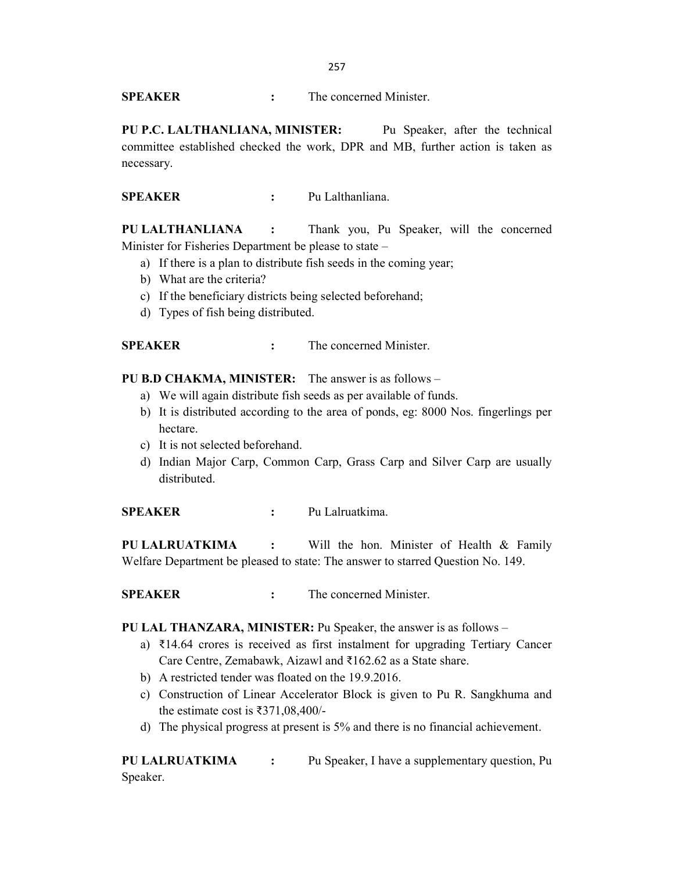SPEAKER : The concerned Minister.

PU P.C. LALTHANLIANA, MINISTER: Pu Speaker, after the technical committee established checked the work, DPR and MB, further action is taken as necessary.

SPEAKER : Pu Lalthanliana.

PU LALTHANLIANA : Thank you, Pu Speaker, will the concerned Minister for Fisheries Department be please to state –

- a) If there is a plan to distribute fish seeds in the coming year;
- b) What are the criteria?
- c) If the beneficiary districts being selected beforehand;
- d) Types of fish being distributed.

SPEAKER : The concerned Minister.

PU B.D CHAKMA, MINISTER: The answer is as follows –

- a) We will again distribute fish seeds as per available of funds.
- b) It is distributed according to the area of ponds, eg: 8000 Nos. fingerlings per hectare.
- c) It is not selected beforehand.
- d) Indian Major Carp, Common Carp, Grass Carp and Silver Carp are usually distributed.

SPEAKER : Pu Lalruatkima.

PU LALRUATKIMA : Will the hon. Minister of Health & Family Welfare Department be pleased to state: The answer to starred Question No. 149.

SPEAKER : The concerned Minister.

PU LAL THANZARA, MINISTER: Pu Speaker, the answer is as follows –

- a) ₹14.64 crores is received as first instalment for upgrading Tertiary Cancer Care Centre, Zemabawk, Aizawl and ₹162.62 as a State share.
- b) A restricted tender was floated on the 19.9.2016.
- c) Construction of Linear Accelerator Block is given to Pu R. Sangkhuma and the estimate cost is ₹371,08,400/-
- d) The physical progress at present is 5% and there is no financial achievement.

PU LALRUATKIMA : Pu Speaker, I have a supplementary question, Pu Speaker.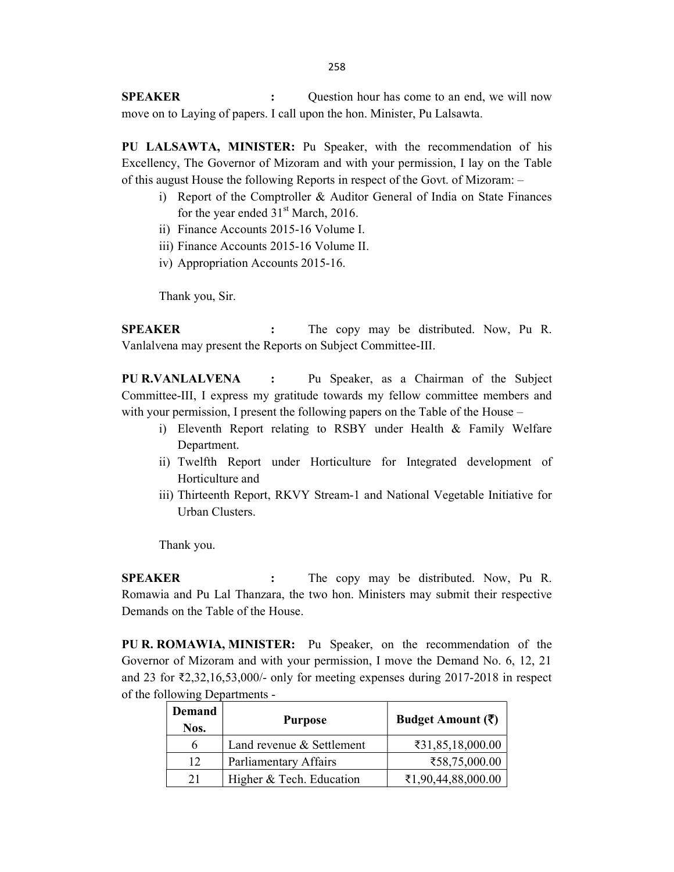SPEAKER : Question hour has come to an end, we will now move on to Laying of papers. I call upon the hon. Minister, Pu Lalsawta.

PU LALSAWTA, MINISTER: Pu Speaker, with the recommendation of his Excellency, The Governor of Mizoram and with your permission, I lay on the Table of this august House the following Reports in respect of the Govt. of Mizoram: –

- i) Report of the Comptroller & Auditor General of India on State Finances for the year ended  $31<sup>st</sup>$  March, 2016.
- ii) Finance Accounts 2015-16 Volume I.
- iii) Finance Accounts 2015-16 Volume II.
- iv) Appropriation Accounts 2015-16.

Thank you, Sir.

SPEAKER : The copy may be distributed. Now, Pu R. Vanlalvena may present the Reports on Subject Committee-III.

PU R.VANLALVENA : Pu Speaker, as a Chairman of the Subject Committee-III, I express my gratitude towards my fellow committee members and with your permission, I present the following papers on the Table of the House –

- i) Eleventh Report relating to RSBY under Health & Family Welfare Department.
- ii) Twelfth Report under Horticulture for Integrated development of Horticulture and
- iii) Thirteenth Report, RKVY Stream-1 and National Vegetable Initiative for Urban Clusters.

Thank you.

SPEAKER : The copy may be distributed. Now, Pu R. Romawia and Pu Lal Thanzara, the two hon. Ministers may submit their respective Demands on the Table of the House.

PU R. ROMAWIA, MINISTER: Pu Speaker, on the recommendation of the Governor of Mizoram and with your permission, I move the Demand No. 6, 12, 21 and 23 for ₹2,32,16,53,000/- only for meeting expenses during 2017-2018 in respect of the following Departments -

| Demand<br>Nos. | <b>Purpose</b>            | Budget Amount $(\bar{\zeta})$ |
|----------------|---------------------------|-------------------------------|
| h              | Land revenue & Settlement | ₹31,85,18,000.00              |
| 12             | Parliamentary Affairs     | ₹58,75,000.00                 |
| 21             | Higher & Tech. Education  | ₹1,90,44,88,000.00            |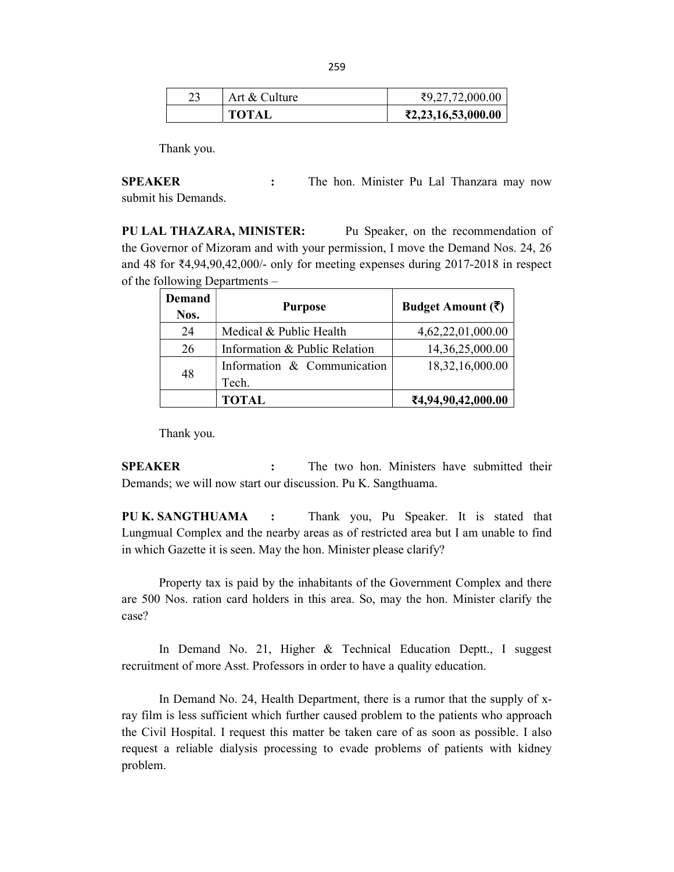|  | Art & Culture | ₹9,27,72,000.00                                       |
|--|---------------|-------------------------------------------------------|
|  | <b>TOTAL</b>  | $\textcolor{blue}{\mathbf{\bar{z}}2,23,16,53,000.00}$ |

Thank you.

SPEAKER : The hon. Minister Pu Lal Thanzara may now submit his Demands.

PU LAL THAZARA, MINISTER: Pu Speaker, on the recommendation of the Governor of Mizoram and with your permission, I move the Demand Nos. 24, 26 and 48 for ₹4,94,90,42,000/- only for meeting expenses during 2017-2018 in respect of the following Departments –

| Demand<br>Nos. | <b>Purpose</b>                | Budget Amount $(\overline{\zeta})$ |
|----------------|-------------------------------|------------------------------------|
| 24             | Medical & Public Health       | 4,62,22,01,000.00                  |
| 26             | Information & Public Relation | 14,36,25,000.00                    |
| 48             | Information & Communication   | 18,32,16,000.00                    |
|                | Tech.                         |                                    |
|                | TOTAL                         | ₹4,94,90,42,000.00                 |

Thank you.

SPEAKER : The two hon. Ministers have submitted their Demands; we will now start our discussion. Pu K. Sangthuama.

PU K. SANGTHUAMA : Thank you, Pu Speaker. It is stated that Lungmual Complex and the nearby areas as of restricted area but I am unable to find in which Gazette it is seen. May the hon. Minister please clarify?

 Property tax is paid by the inhabitants of the Government Complex and there are 500 Nos. ration card holders in this area. So, may the hon. Minister clarify the case?

In Demand No. 21, Higher & Technical Education Deptt., I suggest recruitment of more Asst. Professors in order to have a quality education.

 In Demand No. 24, Health Department, there is a rumor that the supply of xray film is less sufficient which further caused problem to the patients who approach the Civil Hospital. I request this matter be taken care of as soon as possible. I also request a reliable dialysis processing to evade problems of patients with kidney problem.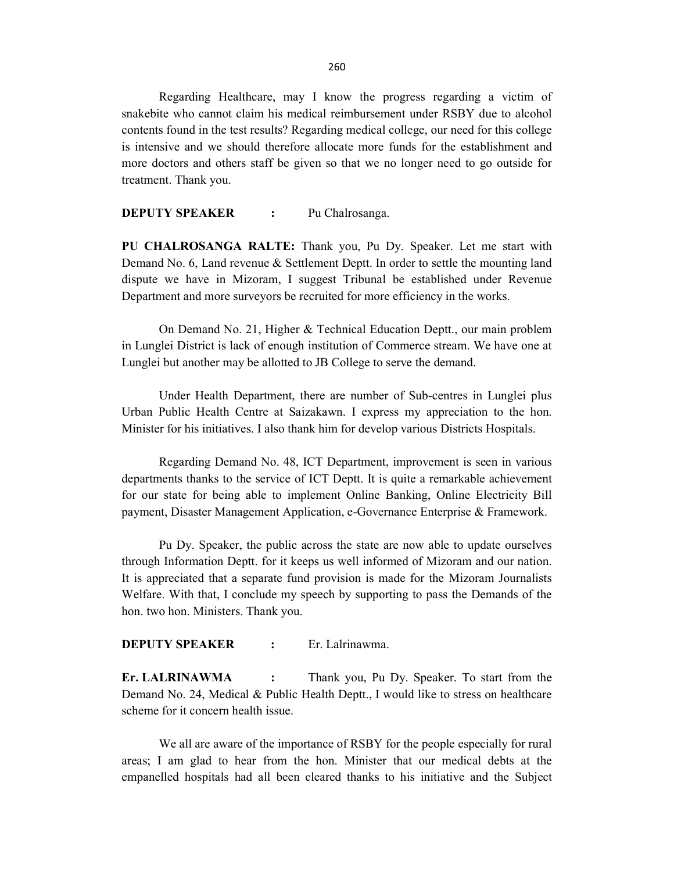Regarding Healthcare, may I know the progress regarding a victim of snakebite who cannot claim his medical reimbursement under RSBY due to alcohol contents found in the test results? Regarding medical college, our need for this college is intensive and we should therefore allocate more funds for the establishment and more doctors and others staff be given so that we no longer need to go outside for treatment. Thank you.

DEPUTY SPEAKER : Pu Chalrosanga.

PU CHALROSANGA RALTE: Thank you, Pu Dy. Speaker. Let me start with Demand No. 6, Land revenue & Settlement Deptt. In order to settle the mounting land dispute we have in Mizoram, I suggest Tribunal be established under Revenue Department and more surveyors be recruited for more efficiency in the works.

On Demand No. 21, Higher & Technical Education Deptt., our main problem in Lunglei District is lack of enough institution of Commerce stream. We have one at Lunglei but another may be allotted to JB College to serve the demand.

 Under Health Department, there are number of Sub-centres in Lunglei plus Urban Public Health Centre at Saizakawn. I express my appreciation to the hon. Minister for his initiatives. I also thank him for develop various Districts Hospitals.

Regarding Demand No. 48, ICT Department, improvement is seen in various departments thanks to the service of ICT Deptt. It is quite a remarkable achievement for our state for being able to implement Online Banking, Online Electricity Bill payment, Disaster Management Application, e-Governance Enterprise & Framework.

 Pu Dy. Speaker, the public across the state are now able to update ourselves through Information Deptt. for it keeps us well informed of Mizoram and our nation. It is appreciated that a separate fund provision is made for the Mizoram Journalists Welfare. With that, I conclude my speech by supporting to pass the Demands of the hon. two hon. Ministers. Thank you.

# DEPUTY SPEAKER : Er. Lalrinawma.

Er. LALRINAWMA : Thank you, Pu Dy. Speaker. To start from the Demand No. 24, Medical & Public Health Deptt., I would like to stress on healthcare scheme for it concern health issue.

 We all are aware of the importance of RSBY for the people especially for rural areas; I am glad to hear from the hon. Minister that our medical debts at the empanelled hospitals had all been cleared thanks to his initiative and the Subject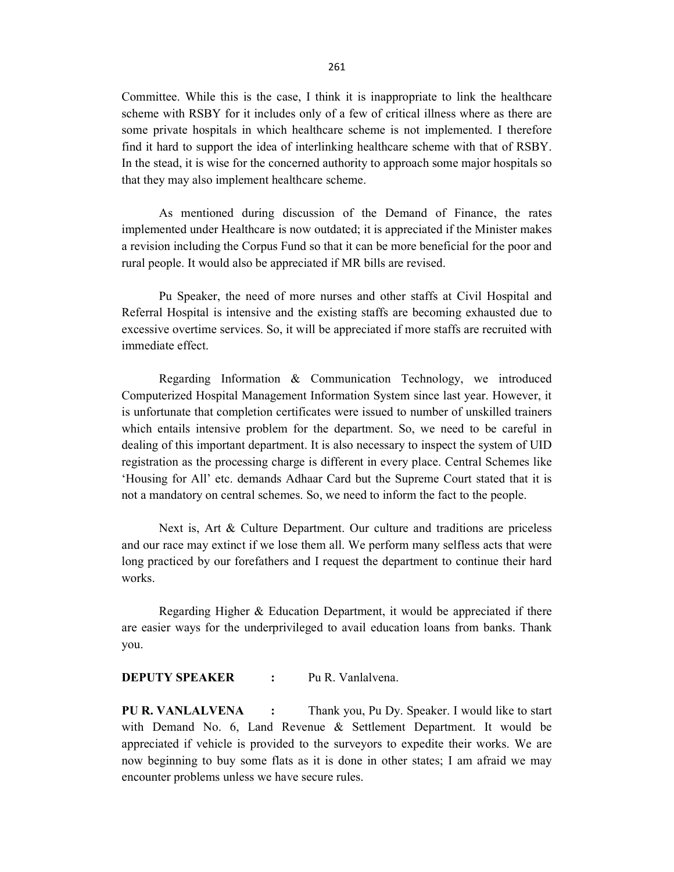Committee. While this is the case, I think it is inappropriate to link the healthcare scheme with RSBY for it includes only of a few of critical illness where as there are some private hospitals in which healthcare scheme is not implemented. I therefore find it hard to support the idea of interlinking healthcare scheme with that of RSBY. In the stead, it is wise for the concerned authority to approach some major hospitals so that they may also implement healthcare scheme.

 As mentioned during discussion of the Demand of Finance, the rates implemented under Healthcare is now outdated; it is appreciated if the Minister makes a revision including the Corpus Fund so that it can be more beneficial for the poor and rural people. It would also be appreciated if MR bills are revised.

Pu Speaker, the need of more nurses and other staffs at Civil Hospital and Referral Hospital is intensive and the existing staffs are becoming exhausted due to excessive overtime services. So, it will be appreciated if more staffs are recruited with immediate effect.

Regarding Information & Communication Technology, we introduced Computerized Hospital Management Information System since last year. However, it is unfortunate that completion certificates were issued to number of unskilled trainers which entails intensive problem for the department. So, we need to be careful in dealing of this important department. It is also necessary to inspect the system of UID registration as the processing charge is different in every place. Central Schemes like 'Housing for All' etc. demands Adhaar Card but the Supreme Court stated that it is not a mandatory on central schemes. So, we need to inform the fact to the people.

Next is, Art & Culture Department. Our culture and traditions are priceless and our race may extinct if we lose them all. We perform many selfless acts that were long practiced by our forefathers and I request the department to continue their hard works.

Regarding Higher & Education Department, it would be appreciated if there are easier ways for the underprivileged to avail education loans from banks. Thank you.

DEPUTY SPEAKER : Pu R. Vanlalvena.

PU R. VANLALVENA : Thank you, Pu Dy. Speaker. I would like to start with Demand No. 6, Land Revenue & Settlement Department. It would be appreciated if vehicle is provided to the surveyors to expedite their works. We are now beginning to buy some flats as it is done in other states; I am afraid we may encounter problems unless we have secure rules.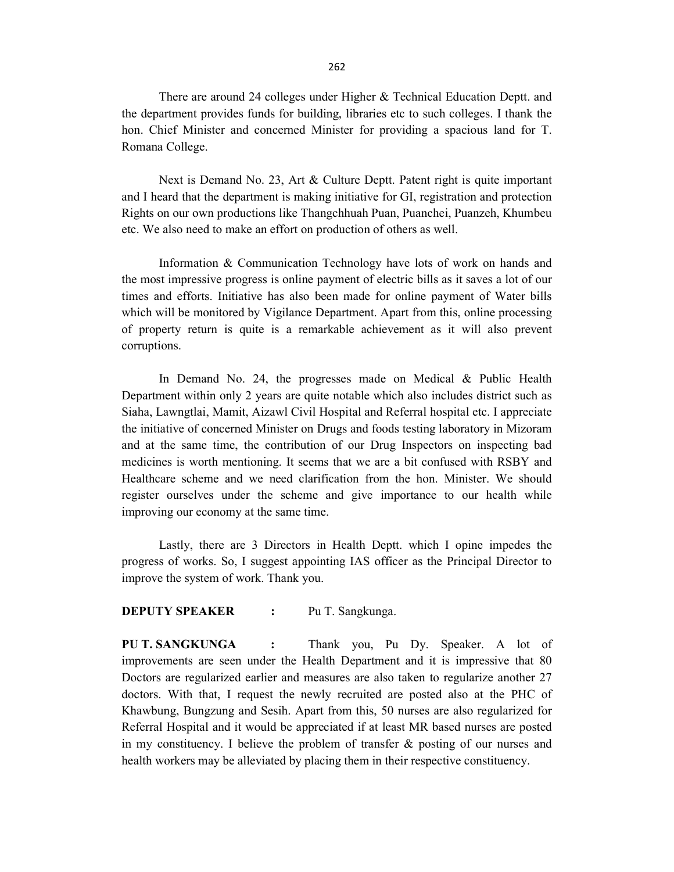There are around 24 colleges under Higher & Technical Education Deptt. and the department provides funds for building, libraries etc to such colleges. I thank the hon. Chief Minister and concerned Minister for providing a spacious land for T. Romana College.

 Next is Demand No. 23, Art & Culture Deptt. Patent right is quite important and I heard that the department is making initiative for GI, registration and protection Rights on our own productions like Thangchhuah Puan, Puanchei, Puanzeh, Khumbeu etc. We also need to make an effort on production of others as well.

Information & Communication Technology have lots of work on hands and the most impressive progress is online payment of electric bills as it saves a lot of our times and efforts. Initiative has also been made for online payment of Water bills which will be monitored by Vigilance Department. Apart from this, online processing of property return is quite is a remarkable achievement as it will also prevent corruptions.

In Demand No. 24, the progresses made on Medical & Public Health Department within only 2 years are quite notable which also includes district such as Siaha, Lawngtlai, Mamit, Aizawl Civil Hospital and Referral hospital etc. I appreciate the initiative of concerned Minister on Drugs and foods testing laboratory in Mizoram and at the same time, the contribution of our Drug Inspectors on inspecting bad medicines is worth mentioning. It seems that we are a bit confused with RSBY and Healthcare scheme and we need clarification from the hon. Minister. We should register ourselves under the scheme and give importance to our health while improving our economy at the same time.

Lastly, there are 3 Directors in Health Deptt. which I opine impedes the progress of works. So, I suggest appointing IAS officer as the Principal Director to improve the system of work. Thank you.

#### DEPUTY SPEAKER : Pu T. Sangkunga.

PU T. SANGKUNGA : Thank you, Pu Dy. Speaker. A lot of improvements are seen under the Health Department and it is impressive that 80 Doctors are regularized earlier and measures are also taken to regularize another 27 doctors. With that, I request the newly recruited are posted also at the PHC of Khawbung, Bungzung and Sesih. Apart from this, 50 nurses are also regularized for Referral Hospital and it would be appreciated if at least MR based nurses are posted in my constituency. I believe the problem of transfer & posting of our nurses and health workers may be alleviated by placing them in their respective constituency.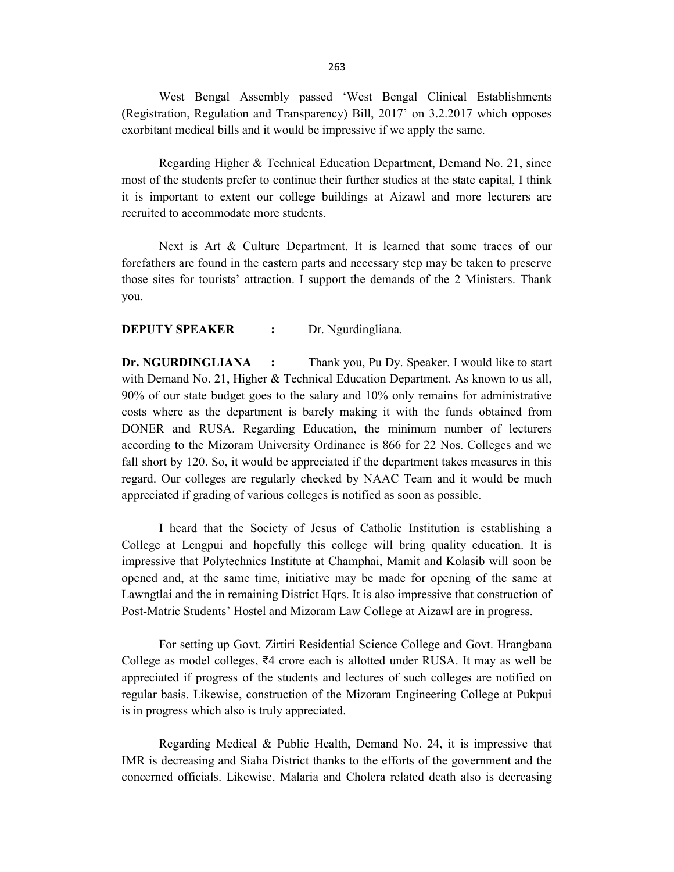West Bengal Assembly passed 'West Bengal Clinical Establishments (Registration, Regulation and Transparency) Bill, 2017' on 3.2.2017 which opposes exorbitant medical bills and it would be impressive if we apply the same.

 Regarding Higher & Technical Education Department, Demand No. 21, since most of the students prefer to continue their further studies at the state capital, I think it is important to extent our college buildings at Aizawl and more lecturers are recruited to accommodate more students.

 Next is Art & Culture Department. It is learned that some traces of our forefathers are found in the eastern parts and necessary step may be taken to preserve those sites for tourists' attraction. I support the demands of the 2 Ministers. Thank you.

# DEPUTY SPEAKER : Dr. Ngurdingliana.

Dr. NGURDINGLIANA : Thank you, Pu Dy. Speaker. I would like to start with Demand No. 21, Higher & Technical Education Department. As known to us all, 90% of our state budget goes to the salary and 10% only remains for administrative costs where as the department is barely making it with the funds obtained from DONER and RUSA. Regarding Education, the minimum number of lecturers according to the Mizoram University Ordinance is 866 for 22 Nos. Colleges and we fall short by 120. So, it would be appreciated if the department takes measures in this regard. Our colleges are regularly checked by NAAC Team and it would be much appreciated if grading of various colleges is notified as soon as possible.

I heard that the Society of Jesus of Catholic Institution is establishing a College at Lengpui and hopefully this college will bring quality education. It is impressive that Polytechnics Institute at Champhai, Mamit and Kolasib will soon be opened and, at the same time, initiative may be made for opening of the same at Lawngtlai and the in remaining District Hqrs. It is also impressive that construction of Post-Matric Students' Hostel and Mizoram Law College at Aizawl are in progress.

For setting up Govt. Zirtiri Residential Science College and Govt. Hrangbana College as model colleges,  $\bar{\xi}4$  crore each is allotted under RUSA. It may as well be appreciated if progress of the students and lectures of such colleges are notified on regular basis. Likewise, construction of the Mizoram Engineering College at Pukpui is in progress which also is truly appreciated.

 Regarding Medical & Public Health, Demand No. 24, it is impressive that IMR is decreasing and Siaha District thanks to the efforts of the government and the concerned officials. Likewise, Malaria and Cholera related death also is decreasing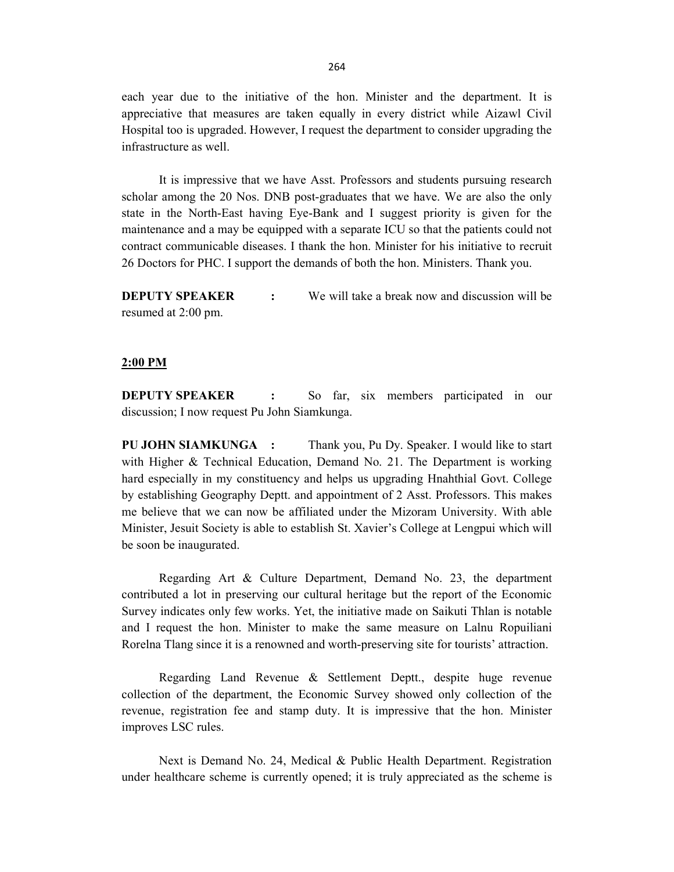each year due to the initiative of the hon. Minister and the department. It is appreciative that measures are taken equally in every district while Aizawl Civil Hospital too is upgraded. However, I request the department to consider upgrading the infrastructure as well.

It is impressive that we have Asst. Professors and students pursuing research scholar among the 20 Nos. DNB post-graduates that we have. We are also the only state in the North-East having Eye-Bank and I suggest priority is given for the maintenance and a may be equipped with a separate ICU so that the patients could not contract communicable diseases. I thank the hon. Minister for his initiative to recruit 26 Doctors for PHC. I support the demands of both the hon. Ministers. Thank you.

**DEPUTY SPEAKER** : We will take a break now and discussion will be resumed at 2:00 pm.

#### 2:00 PM

DEPUTY SPEAKER : So far, six members participated in our discussion; I now request Pu John Siamkunga.

PU JOHN SIAMKUNGA : Thank you, Pu Dy. Speaker. I would like to start with Higher & Technical Education, Demand No. 21. The Department is working hard especially in my constituency and helps us upgrading Hnahthial Govt. College by establishing Geography Deptt. and appointment of 2 Asst. Professors. This makes me believe that we can now be affiliated under the Mizoram University. With able Minister, Jesuit Society is able to establish St. Xavier's College at Lengpui which will be soon be inaugurated.

Regarding Art & Culture Department, Demand No. 23, the department contributed a lot in preserving our cultural heritage but the report of the Economic Survey indicates only few works. Yet, the initiative made on Saikuti Thlan is notable and I request the hon. Minister to make the same measure on Lalnu Ropuiliani Rorelna Tlang since it is a renowned and worth-preserving site for tourists' attraction.

Regarding Land Revenue & Settlement Deptt., despite huge revenue collection of the department, the Economic Survey showed only collection of the revenue, registration fee and stamp duty. It is impressive that the hon. Minister improves LSC rules.

 Next is Demand No. 24, Medical & Public Health Department. Registration under healthcare scheme is currently opened; it is truly appreciated as the scheme is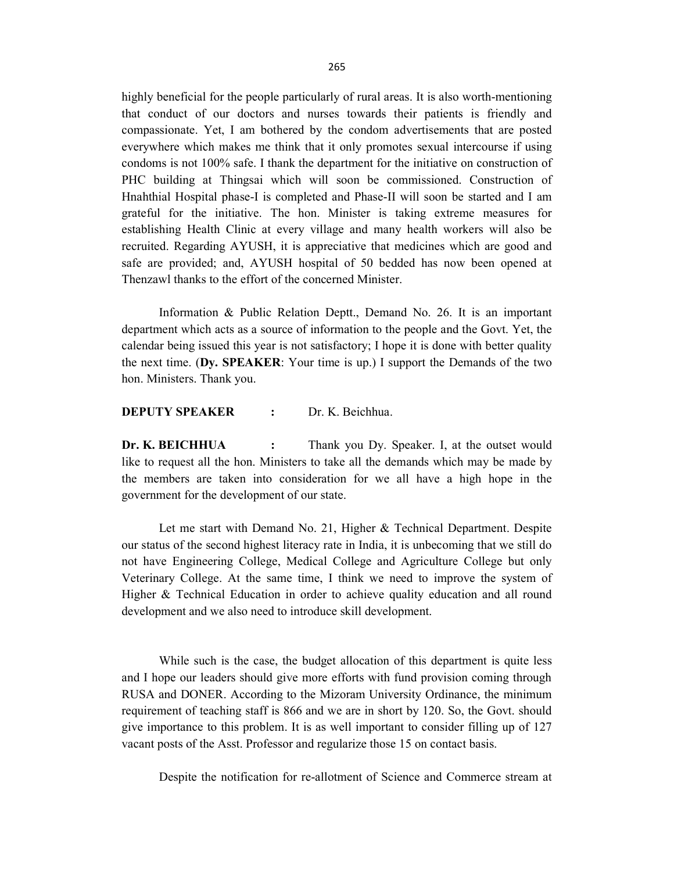highly beneficial for the people particularly of rural areas. It is also worth-mentioning that conduct of our doctors and nurses towards their patients is friendly and compassionate. Yet, I am bothered by the condom advertisements that are posted everywhere which makes me think that it only promotes sexual intercourse if using condoms is not 100% safe. I thank the department for the initiative on construction of PHC building at Thingsai which will soon be commissioned. Construction of Hnahthial Hospital phase-I is completed and Phase-II will soon be started and I am grateful for the initiative. The hon. Minister is taking extreme measures for establishing Health Clinic at every village and many health workers will also be recruited. Regarding AYUSH, it is appreciative that medicines which are good and safe are provided; and, AYUSH hospital of 50 bedded has now been opened at Thenzawl thanks to the effort of the concerned Minister.

Information & Public Relation Deptt., Demand No. 26. It is an important department which acts as a source of information to the people and the Govt. Yet, the calendar being issued this year is not satisfactory; I hope it is done with better quality the next time. (Dy. SPEAKER: Your time is up.) I support the Demands of the two hon. Ministers. Thank you.

## DEPUTY SPEAKER : Dr. K. Beichhua.

Dr. K. BEICHHUA : Thank you Dy. Speaker. I, at the outset would like to request all the hon. Ministers to take all the demands which may be made by the members are taken into consideration for we all have a high hope in the government for the development of our state.

Let me start with Demand No. 21, Higher & Technical Department. Despite our status of the second highest literacy rate in India, it is unbecoming that we still do not have Engineering College, Medical College and Agriculture College but only Veterinary College. At the same time, I think we need to improve the system of Higher & Technical Education in order to achieve quality education and all round development and we also need to introduce skill development.

While such is the case, the budget allocation of this department is quite less and I hope our leaders should give more efforts with fund provision coming through RUSA and DONER. According to the Mizoram University Ordinance, the minimum requirement of teaching staff is 866 and we are in short by 120. So, the Govt. should give importance to this problem. It is as well important to consider filling up of 127 vacant posts of the Asst. Professor and regularize those 15 on contact basis.

Despite the notification for re-allotment of Science and Commerce stream at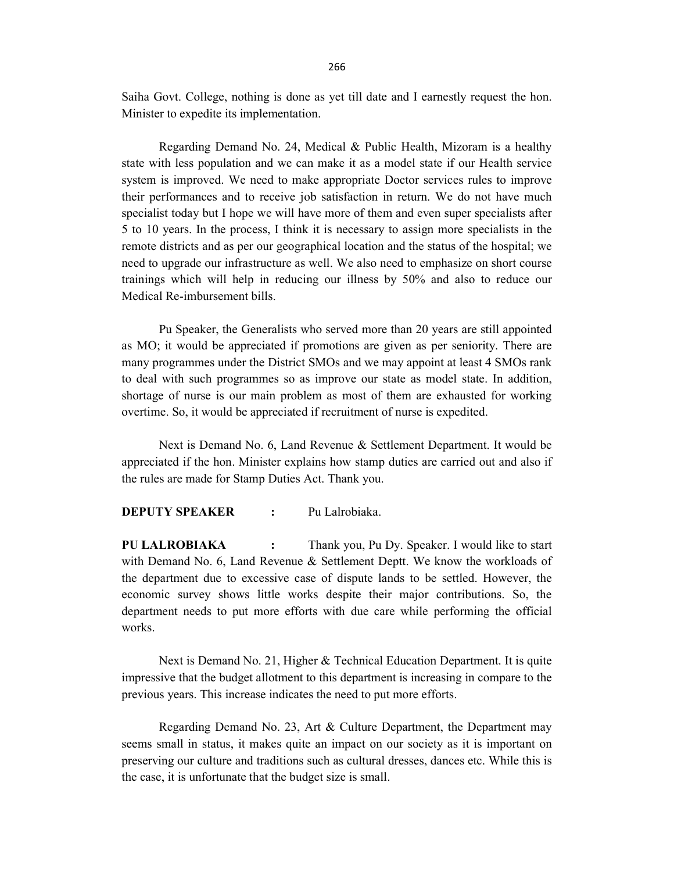Saiha Govt. College, nothing is done as yet till date and I earnestly request the hon. Minister to expedite its implementation.

Regarding Demand No. 24, Medical & Public Health, Mizoram is a healthy state with less population and we can make it as a model state if our Health service system is improved. We need to make appropriate Doctor services rules to improve their performances and to receive job satisfaction in return. We do not have much specialist today but I hope we will have more of them and even super specialists after 5 to 10 years. In the process, I think it is necessary to assign more specialists in the remote districts and as per our geographical location and the status of the hospital; we need to upgrade our infrastructure as well. We also need to emphasize on short course trainings which will help in reducing our illness by 50% and also to reduce our Medical Re-imbursement bills.

 Pu Speaker, the Generalists who served more than 20 years are still appointed as MO; it would be appreciated if promotions are given as per seniority. There are many programmes under the District SMOs and we may appoint at least 4 SMOs rank to deal with such programmes so as improve our state as model state. In addition, shortage of nurse is our main problem as most of them are exhausted for working overtime. So, it would be appreciated if recruitment of nurse is expedited.

Next is Demand No. 6, Land Revenue & Settlement Department. It would be appreciated if the hon. Minister explains how stamp duties are carried out and also if the rules are made for Stamp Duties Act. Thank you.

#### DEPUTY SPEAKER : Pu Lalrobiaka

PU LALROBIAKA : Thank you, Pu Dy. Speaker. I would like to start with Demand No. 6, Land Revenue & Settlement Deptt. We know the workloads of the department due to excessive case of dispute lands to be settled. However, the economic survey shows little works despite their major contributions. So, the department needs to put more efforts with due care while performing the official works.

Next is Demand No. 21, Higher & Technical Education Department. It is quite impressive that the budget allotment to this department is increasing in compare to the previous years. This increase indicates the need to put more efforts.

Regarding Demand No. 23, Art & Culture Department, the Department may seems small in status, it makes quite an impact on our society as it is important on preserving our culture and traditions such as cultural dresses, dances etc. While this is the case, it is unfortunate that the budget size is small.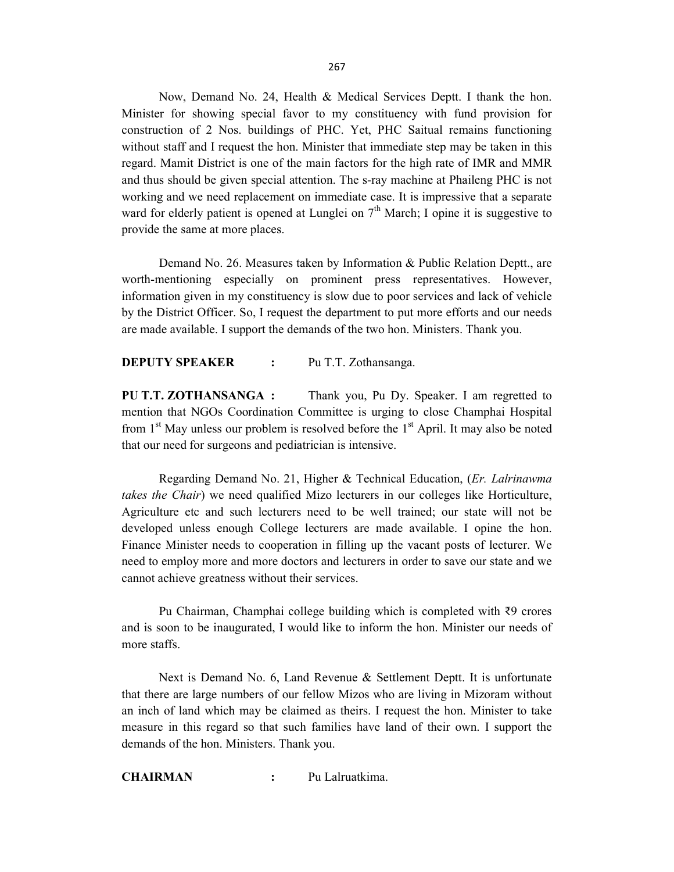Now, Demand No. 24, Health & Medical Services Deptt. I thank the hon. Minister for showing special favor to my constituency with fund provision for construction of 2 Nos. buildings of PHC. Yet, PHC Saitual remains functioning without staff and I request the hon. Minister that immediate step may be taken in this regard. Mamit District is one of the main factors for the high rate of IMR and MMR and thus should be given special attention. The s-ray machine at Phaileng PHC is not working and we need replacement on immediate case. It is impressive that a separate ward for elderly patient is opened at Lunglei on  $7<sup>th</sup>$  March; I opine it is suggestive to provide the same at more places.

Demand No. 26. Measures taken by Information & Public Relation Deptt., are worth-mentioning especially on prominent press representatives. However, information given in my constituency is slow due to poor services and lack of vehicle by the District Officer. So, I request the department to put more efforts and our needs are made available. I support the demands of the two hon. Ministers. Thank you.

## DEPUTY SPEAKER : Pu T.T. Zothansanga.

PU T.T. ZOTHANSANGA : Thank you, Pu Dy. Speaker. I am regretted to mention that NGOs Coordination Committee is urging to close Champhai Hospital from  $1<sup>st</sup>$  May unless our problem is resolved before the  $1<sup>st</sup>$  April. It may also be noted that our need for surgeons and pediatrician is intensive.

 Regarding Demand No. 21, Higher & Technical Education, (Er. Lalrinawma takes the Chair) we need qualified Mizo lecturers in our colleges like Horticulture, Agriculture etc and such lecturers need to be well trained; our state will not be developed unless enough College lecturers are made available. I opine the hon. Finance Minister needs to cooperation in filling up the vacant posts of lecturer. We need to employ more and more doctors and lecturers in order to save our state and we cannot achieve greatness without their services.

 Pu Chairman, Champhai college building which is completed with ₹9 crores and is soon to be inaugurated, I would like to inform the hon. Minister our needs of more staffs.

 Next is Demand No. 6, Land Revenue & Settlement Deptt. It is unfortunate that there are large numbers of our fellow Mizos who are living in Mizoram without an inch of land which may be claimed as theirs. I request the hon. Minister to take measure in this regard so that such families have land of their own. I support the demands of the hon. Ministers. Thank you.

CHAIRMAN : Pu Lalruatkima.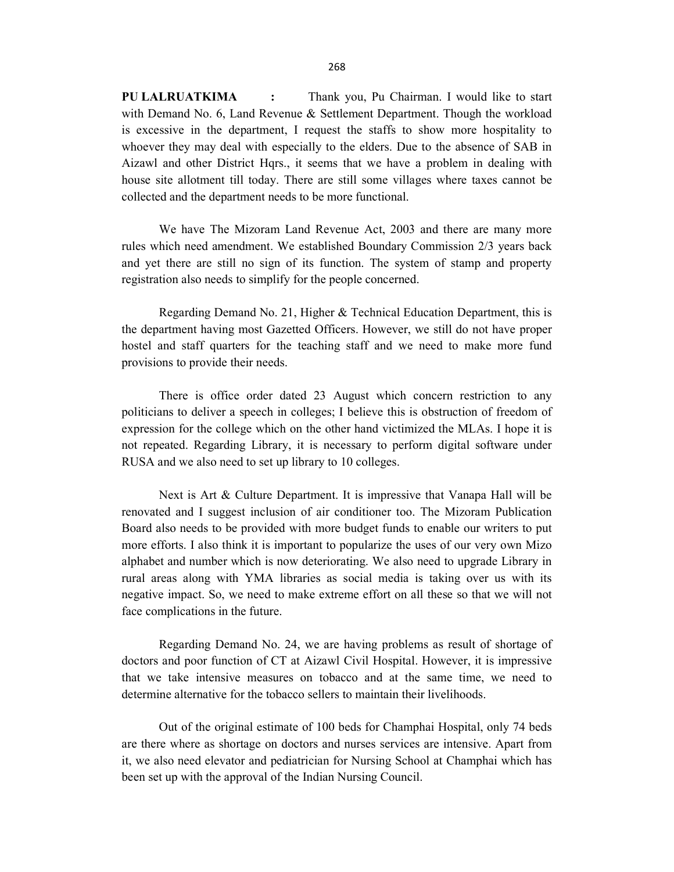house site allotment till today. There are still some villages where taxes cannot be

collected and the department needs to be more functional.

 We have The Mizoram Land Revenue Act, 2003 and there are many more rules which need amendment. We established Boundary Commission 2/3 years back and yet there are still no sign of its function. The system of stamp and property registration also needs to simplify for the people concerned.

 Regarding Demand No. 21, Higher & Technical Education Department, this is the department having most Gazetted Officers. However, we still do not have proper hostel and staff quarters for the teaching staff and we need to make more fund provisions to provide their needs.

 There is office order dated 23 August which concern restriction to any politicians to deliver a speech in colleges; I believe this is obstruction of freedom of expression for the college which on the other hand victimized the MLAs. I hope it is not repeated. Regarding Library, it is necessary to perform digital software under RUSA and we also need to set up library to 10 colleges.

 Next is Art & Culture Department. It is impressive that Vanapa Hall will be renovated and I suggest inclusion of air conditioner too. The Mizoram Publication Board also needs to be provided with more budget funds to enable our writers to put more efforts. I also think it is important to popularize the uses of our very own Mizo alphabet and number which is now deteriorating. We also need to upgrade Library in rural areas along with YMA libraries as social media is taking over us with its negative impact. So, we need to make extreme effort on all these so that we will not face complications in the future.

Regarding Demand No. 24, we are having problems as result of shortage of doctors and poor function of CT at Aizawl Civil Hospital. However, it is impressive that we take intensive measures on tobacco and at the same time, we need to determine alternative for the tobacco sellers to maintain their livelihoods.

 Out of the original estimate of 100 beds for Champhai Hospital, only 74 beds are there where as shortage on doctors and nurses services are intensive. Apart from it, we also need elevator and pediatrician for Nursing School at Champhai which has been set up with the approval of the Indian Nursing Council.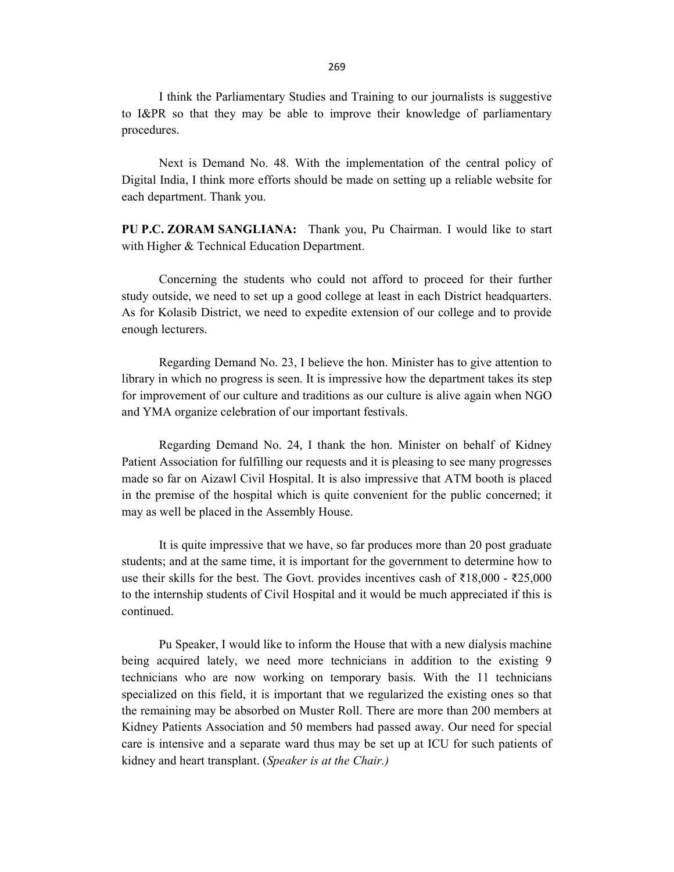I think the Parliamentary Studies and Training to our journalists is suggestive to I&PR so that they may be able to improve their knowledge of parliamentary procedures.

 Next is Demand No. 48. With the implementation of the central policy of Digital India, I think more efforts should be made on setting up a reliable website for each department. Thank you.

PU P.C. ZORAM SANGLIANA: Thank you, Pu Chairman. I would like to start with Higher & Technical Education Department.

 Concerning the students who could not afford to proceed for their further study outside, we need to set up a good college at least in each District headquarters. As for Kolasib District, we need to expedite extension of our college and to provide enough lecturers.

Regarding Demand No. 23, I believe the hon. Minister has to give attention to library in which no progress is seen. It is impressive how the department takes its step for improvement of our culture and traditions as our culture is alive again when NGO and YMA organize celebration of our important festivals.

Regarding Demand No. 24, I thank the hon. Minister on behalf of Kidney Patient Association for fulfilling our requests and it is pleasing to see many progresses made so far on Aizawl Civil Hospital. It is also impressive that ATM booth is placed in the premise of the hospital which is quite convenient for the public concerned; it may as well be placed in the Assembly House.

It is quite impressive that we have, so far produces more than 20 post graduate students; and at the same time, it is important for the government to determine how to use their skills for the best. The Govt. provides incentives cash of  $\bar{\xi}18,000$  -  $\bar{\xi}25,000$ to the internship students of Civil Hospital and it would be much appreciated if this is continued.

 Pu Speaker, I would like to inform the House that with a new dialysis machine being acquired lately, we need more technicians in addition to the existing 9 technicians who are now working on temporary basis. With the 11 technicians specialized on this field, it is important that we regularized the existing ones so that the remaining may be absorbed on Muster Roll. There are more than 200 members at Kidney Patients Association and 50 members had passed away. Our need for special care is intensive and a separate ward thus may be set up at ICU for such patients of kidney and heart transplant. (Speaker is at the Chair.)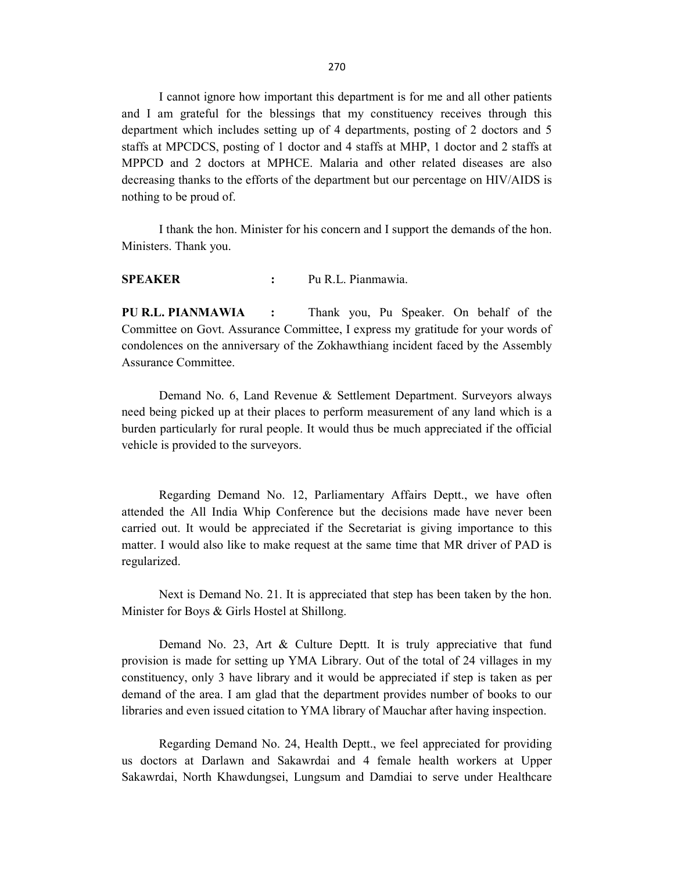I cannot ignore how important this department is for me and all other patients and I am grateful for the blessings that my constituency receives through this department which includes setting up of 4 departments, posting of 2 doctors and 5 staffs at MPCDCS, posting of 1 doctor and 4 staffs at MHP, 1 doctor and 2 staffs at MPPCD and 2 doctors at MPHCE. Malaria and other related diseases are also decreasing thanks to the efforts of the department but our percentage on HIV/AIDS is nothing to be proud of.

 I thank the hon. Minister for his concern and I support the demands of the hon. Ministers. Thank you.

SPEAKER : Pu R.L. Pianmawia.

PU R.L. PIANMAWIA : Thank you, Pu Speaker. On behalf of the Committee on Govt. Assurance Committee, I express my gratitude for your words of condolences on the anniversary of the Zokhawthiang incident faced by the Assembly Assurance Committee.

 Demand No. 6, Land Revenue & Settlement Department. Surveyors always need being picked up at their places to perform measurement of any land which is a burden particularly for rural people. It would thus be much appreciated if the official vehicle is provided to the surveyors.

 Regarding Demand No. 12, Parliamentary Affairs Deptt., we have often attended the All India Whip Conference but the decisions made have never been carried out. It would be appreciated if the Secretariat is giving importance to this matter. I would also like to make request at the same time that MR driver of PAD is regularized.

 Next is Demand No. 21. It is appreciated that step has been taken by the hon. Minister for Boys & Girls Hostel at Shillong.

 Demand No. 23, Art & Culture Deptt. It is truly appreciative that fund provision is made for setting up YMA Library. Out of the total of 24 villages in my constituency, only 3 have library and it would be appreciated if step is taken as per demand of the area. I am glad that the department provides number of books to our libraries and even issued citation to YMA library of Mauchar after having inspection.

Regarding Demand No. 24, Health Deptt., we feel appreciated for providing us doctors at Darlawn and Sakawrdai and 4 female health workers at Upper Sakawrdai, North Khawdungsei, Lungsum and Damdiai to serve under Healthcare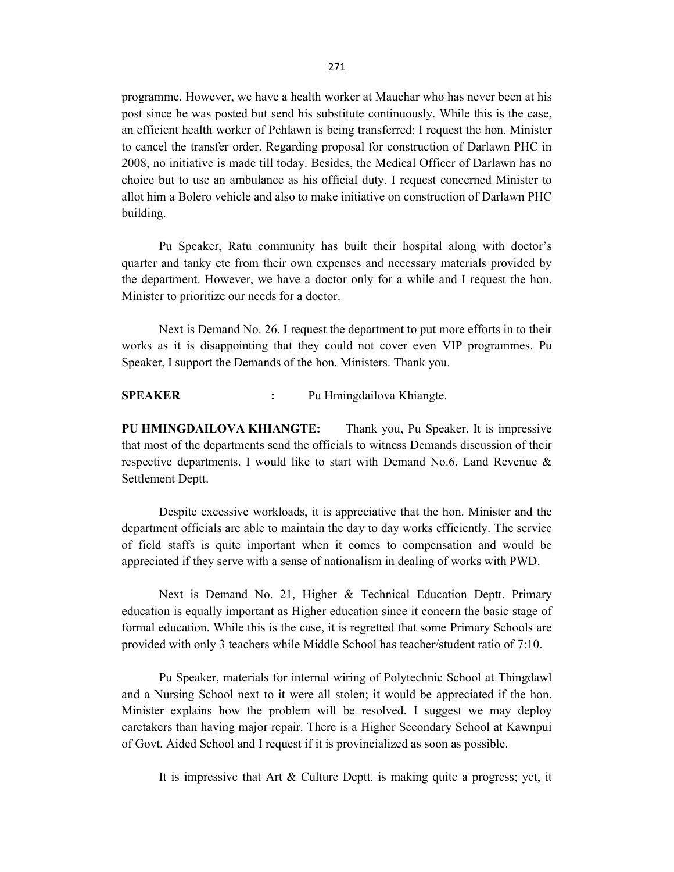programme. However, we have a health worker at Mauchar who has never been at his post since he was posted but send his substitute continuously. While this is the case, an efficient health worker of Pehlawn is being transferred; I request the hon. Minister to cancel the transfer order. Regarding proposal for construction of Darlawn PHC in 2008, no initiative is made till today. Besides, the Medical Officer of Darlawn has no choice but to use an ambulance as his official duty. I request concerned Minister to allot him a Bolero vehicle and also to make initiative on construction of Darlawn PHC building.

Pu Speaker, Ratu community has built their hospital along with doctor's quarter and tanky etc from their own expenses and necessary materials provided by the department. However, we have a doctor only for a while and I request the hon. Minister to prioritize our needs for a doctor.

 Next is Demand No. 26. I request the department to put more efforts in to their works as it is disappointing that they could not cover even VIP programmes. Pu Speaker, I support the Demands of the hon. Ministers. Thank you.

SPEAKER : Pu Hmingdailova Khiangte.

PU HMINGDAILOVA KHIANGTE: Thank you, Pu Speaker. It is impressive that most of the departments send the officials to witness Demands discussion of their respective departments. I would like to start with Demand No.6, Land Revenue & Settlement Deptt.

Despite excessive workloads, it is appreciative that the hon. Minister and the department officials are able to maintain the day to day works efficiently. The service of field staffs is quite important when it comes to compensation and would be appreciated if they serve with a sense of nationalism in dealing of works with PWD.

 Next is Demand No. 21, Higher & Technical Education Deptt. Primary education is equally important as Higher education since it concern the basic stage of formal education. While this is the case, it is regretted that some Primary Schools are provided with only 3 teachers while Middle School has teacher/student ratio of 7:10.

 Pu Speaker, materials for internal wiring of Polytechnic School at Thingdawl and a Nursing School next to it were all stolen; it would be appreciated if the hon. Minister explains how the problem will be resolved. I suggest we may deploy caretakers than having major repair. There is a Higher Secondary School at Kawnpui of Govt. Aided School and I request if it is provincialized as soon as possible.

It is impressive that Art & Culture Deptt. is making quite a progress; yet, it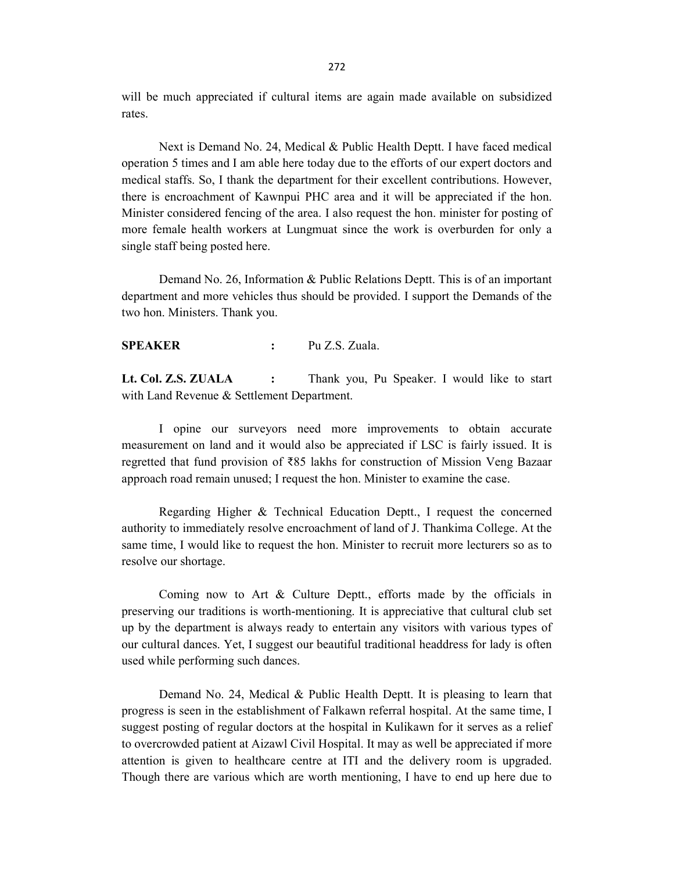will be much appreciated if cultural items are again made available on subsidized rates.

Next is Demand No. 24, Medical & Public Health Deptt. I have faced medical operation 5 times and I am able here today due to the efforts of our expert doctors and medical staffs. So, I thank the department for their excellent contributions. However, there is encroachment of Kawnpui PHC area and it will be appreciated if the hon. Minister considered fencing of the area. I also request the hon. minister for posting of more female health workers at Lungmuat since the work is overburden for only a single staff being posted here.

Demand No. 26, Information & Public Relations Deptt. This is of an important department and more vehicles thus should be provided. I support the Demands of the two hon. Ministers. Thank you.

SPEAKER : Pu Z.S. Zuala.

Lt. Col. Z.S. ZUALA : Thank you, Pu Speaker. I would like to start with Land Revenue & Settlement Department.

 I opine our surveyors need more improvements to obtain accurate measurement on land and it would also be appreciated if LSC is fairly issued. It is regretted that fund provision of ₹85 lakhs for construction of Mission Veng Bazaar approach road remain unused; I request the hon. Minister to examine the case.

 Regarding Higher & Technical Education Deptt., I request the concerned authority to immediately resolve encroachment of land of J. Thankima College. At the same time, I would like to request the hon. Minister to recruit more lecturers so as to resolve our shortage.

Coming now to Art & Culture Deptt., efforts made by the officials in preserving our traditions is worth-mentioning. It is appreciative that cultural club set up by the department is always ready to entertain any visitors with various types of our cultural dances. Yet, I suggest our beautiful traditional headdress for lady is often used while performing such dances.

Demand No. 24, Medical & Public Health Deptt. It is pleasing to learn that progress is seen in the establishment of Falkawn referral hospital. At the same time, I suggest posting of regular doctors at the hospital in Kulikawn for it serves as a relief to overcrowded patient at Aizawl Civil Hospital. It may as well be appreciated if more attention is given to healthcare centre at ITI and the delivery room is upgraded. Though there are various which are worth mentioning, I have to end up here due to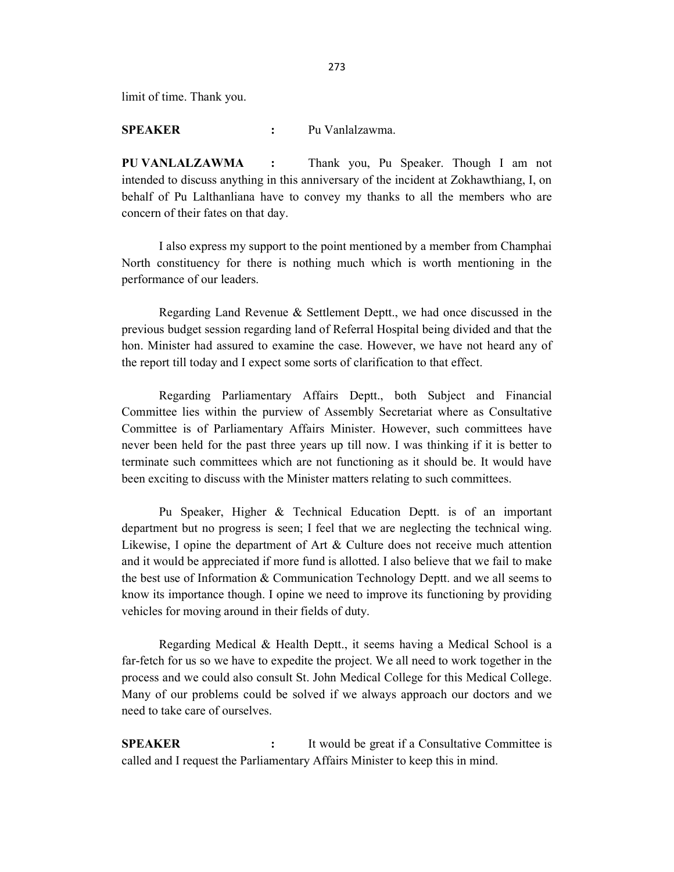limit of time. Thank you.

SPEAKER : Pu Vanlalzawma.

PU VANLALZAWMA : Thank you, Pu Speaker. Though I am not intended to discuss anything in this anniversary of the incident at Zokhawthiang, I, on behalf of Pu Lalthanliana have to convey my thanks to all the members who are concern of their fates on that day.

 I also express my support to the point mentioned by a member from Champhai North constituency for there is nothing much which is worth mentioning in the performance of our leaders.

Regarding Land Revenue & Settlement Deptt., we had once discussed in the previous budget session regarding land of Referral Hospital being divided and that the hon. Minister had assured to examine the case. However, we have not heard any of the report till today and I expect some sorts of clarification to that effect.

Regarding Parliamentary Affairs Deptt., both Subject and Financial Committee lies within the purview of Assembly Secretariat where as Consultative Committee is of Parliamentary Affairs Minister. However, such committees have never been held for the past three years up till now. I was thinking if it is better to terminate such committees which are not functioning as it should be. It would have been exciting to discuss with the Minister matters relating to such committees.

 Pu Speaker, Higher & Technical Education Deptt. is of an important department but no progress is seen; I feel that we are neglecting the technical wing. Likewise, I opine the department of Art & Culture does not receive much attention and it would be appreciated if more fund is allotted. I also believe that we fail to make the best use of Information & Communication Technology Deptt. and we all seems to know its importance though. I opine we need to improve its functioning by providing vehicles for moving around in their fields of duty.

Regarding Medical & Health Deptt., it seems having a Medical School is a far-fetch for us so we have to expedite the project. We all need to work together in the process and we could also consult St. John Medical College for this Medical College. Many of our problems could be solved if we always approach our doctors and we need to take care of ourselves.

SPEAKER : It would be great if a Consultative Committee is called and I request the Parliamentary Affairs Minister to keep this in mind.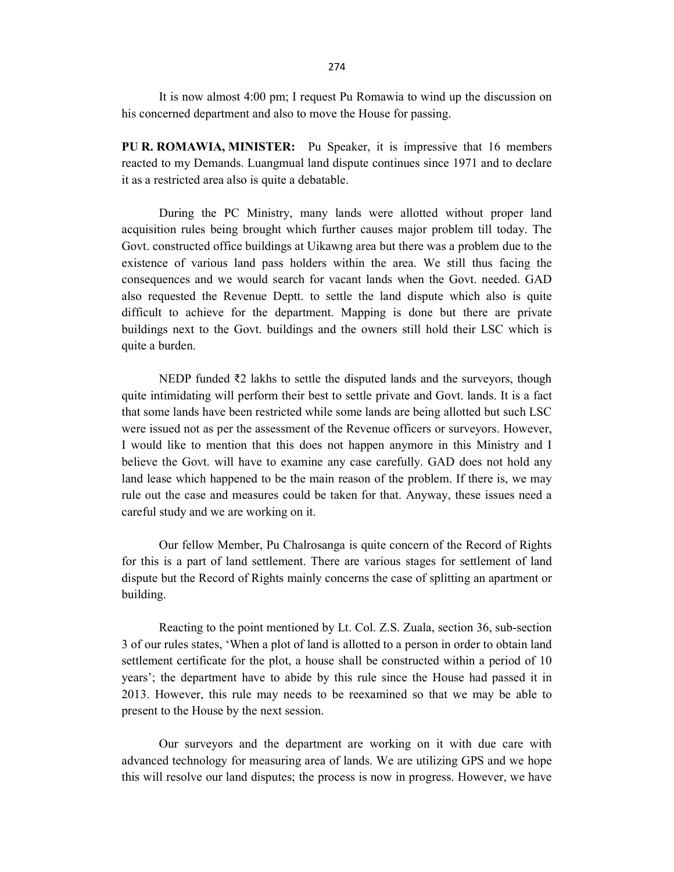It is now almost 4:00 pm; I request Pu Romawia to wind up the discussion on his concerned department and also to move the House for passing.

PU R. ROMAWIA, MINISTER: Pu Speaker, it is impressive that 16 members reacted to my Demands. Luangmual land dispute continues since 1971 and to declare it as a restricted area also is quite a debatable.

During the PC Ministry, many lands were allotted without proper land acquisition rules being brought which further causes major problem till today. The Govt. constructed office buildings at Uikawng area but there was a problem due to the existence of various land pass holders within the area. We still thus facing the consequences and we would search for vacant lands when the Govt. needed. GAD also requested the Revenue Deptt. to settle the land dispute which also is quite difficult to achieve for the department. Mapping is done but there are private buildings next to the Govt. buildings and the owners still hold their LSC which is quite a burden.

 NEDP funded ₹2 lakhs to settle the disputed lands and the surveyors, though quite intimidating will perform their best to settle private and Govt. lands. It is a fact that some lands have been restricted while some lands are being allotted but such LSC were issued not as per the assessment of the Revenue officers or surveyors. However, I would like to mention that this does not happen anymore in this Ministry and I believe the Govt. will have to examine any case carefully. GAD does not hold any land lease which happened to be the main reason of the problem. If there is, we may rule out the case and measures could be taken for that. Anyway, these issues need a careful study and we are working on it.

Our fellow Member, Pu Chalrosanga is quite concern of the Record of Rights for this is a part of land settlement. There are various stages for settlement of land dispute but the Record of Rights mainly concerns the case of splitting an apartment or building.

 Reacting to the point mentioned by Lt. Col. Z.S. Zuala, section 36, sub-section 3 of our rules states, 'When a plot of land is allotted to a person in order to obtain land settlement certificate for the plot, a house shall be constructed within a period of 10 years'; the department have to abide by this rule since the House had passed it in 2013. However, this rule may needs to be reexamined so that we may be able to present to the House by the next session.

Our surveyors and the department are working on it with due care with advanced technology for measuring area of lands. We are utilizing GPS and we hope this will resolve our land disputes; the process is now in progress. However, we have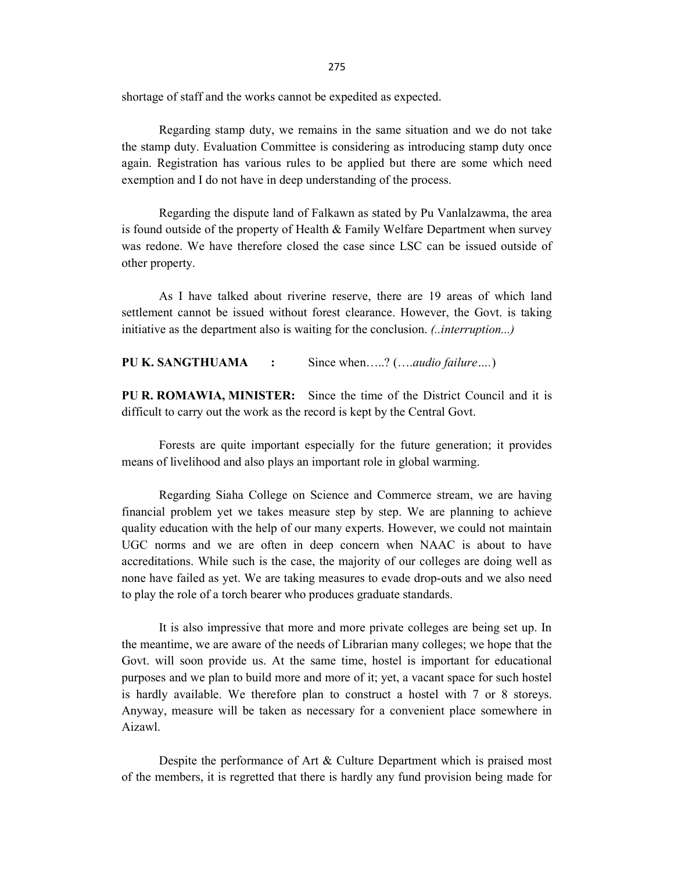275

shortage of staff and the works cannot be expedited as expected.

Regarding stamp duty, we remains in the same situation and we do not take the stamp duty. Evaluation Committee is considering as introducing stamp duty once again. Registration has various rules to be applied but there are some which need exemption and I do not have in deep understanding of the process.

Regarding the dispute land of Falkawn as stated by Pu Vanlalzawma, the area is found outside of the property of Health & Family Welfare Department when survey was redone. We have therefore closed the case since LSC can be issued outside of other property.

 As I have talked about riverine reserve, there are 19 areas of which land settlement cannot be issued without forest clearance. However, the Govt. is taking initiative as the department also is waiting for the conclusion. (.*.interruption...*)

PU K. SANGTHUAMA : Since when.....? (....audio failure....)

PU R. ROMAWIA, MINISTER: Since the time of the District Council and it is difficult to carry out the work as the record is kept by the Central Govt.

 Forests are quite important especially for the future generation; it provides means of livelihood and also plays an important role in global warming.

Regarding Siaha College on Science and Commerce stream, we are having financial problem yet we takes measure step by step. We are planning to achieve quality education with the help of our many experts. However, we could not maintain UGC norms and we are often in deep concern when NAAC is about to have accreditations. While such is the case, the majority of our colleges are doing well as none have failed as yet. We are taking measures to evade drop-outs and we also need to play the role of a torch bearer who produces graduate standards.

 It is also impressive that more and more private colleges are being set up. In the meantime, we are aware of the needs of Librarian many colleges; we hope that the Govt. will soon provide us. At the same time, hostel is important for educational purposes and we plan to build more and more of it; yet, a vacant space for such hostel is hardly available. We therefore plan to construct a hostel with 7 or 8 storeys. Anyway, measure will be taken as necessary for a convenient place somewhere in Aizawl.

 Despite the performance of Art & Culture Department which is praised most of the members, it is regretted that there is hardly any fund provision being made for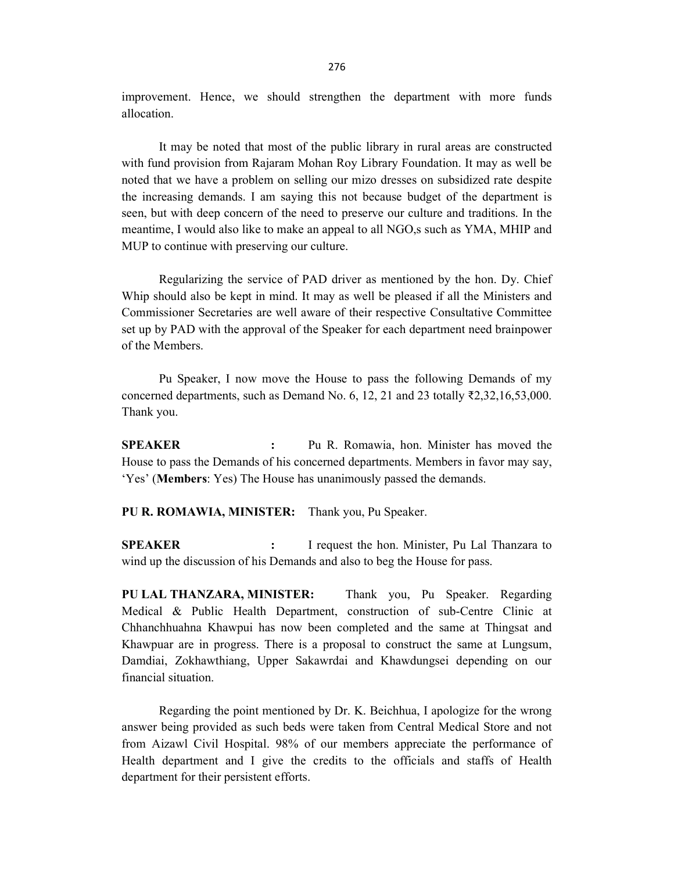improvement. Hence, we should strengthen the department with more funds allocation.

 It may be noted that most of the public library in rural areas are constructed with fund provision from Rajaram Mohan Roy Library Foundation. It may as well be noted that we have a problem on selling our mizo dresses on subsidized rate despite the increasing demands. I am saying this not because budget of the department is seen, but with deep concern of the need to preserve our culture and traditions. In the meantime, I would also like to make an appeal to all NGO,s such as YMA, MHIP and MUP to continue with preserving our culture.

 Regularizing the service of PAD driver as mentioned by the hon. Dy. Chief Whip should also be kept in mind. It may as well be pleased if all the Ministers and Commissioner Secretaries are well aware of their respective Consultative Committee set up by PAD with the approval of the Speaker for each department need brainpower of the Members.

 Pu Speaker, I now move the House to pass the following Demands of my concerned departments, such as Demand No. 6, 12, 21 and 23 totally  $\bar{\xi}$ 2,32,16,53,000. Thank you.

SPEAKER : Pu R. Romawia, hon. Minister has moved the House to pass the Demands of his concerned departments. Members in favor may say, 'Yes' (Members: Yes) The House has unanimously passed the demands.

PU R. ROMAWIA, MINISTER: Thank you, Pu Speaker.

SPEAKER : I request the hon. Minister, Pu Lal Thanzara to wind up the discussion of his Demands and also to beg the House for pass.

PU LAL THANZARA, MINISTER: Thank you, Pu Speaker. Regarding Medical & Public Health Department, construction of sub-Centre Clinic at Chhanchhuahna Khawpui has now been completed and the same at Thingsat and Khawpuar are in progress. There is a proposal to construct the same at Lungsum, Damdiai, Zokhawthiang, Upper Sakawrdai and Khawdungsei depending on our financial situation.

Regarding the point mentioned by Dr. K. Beichhua, I apologize for the wrong answer being provided as such beds were taken from Central Medical Store and not from Aizawl Civil Hospital. 98% of our members appreciate the performance of Health department and I give the credits to the officials and staffs of Health department for their persistent efforts.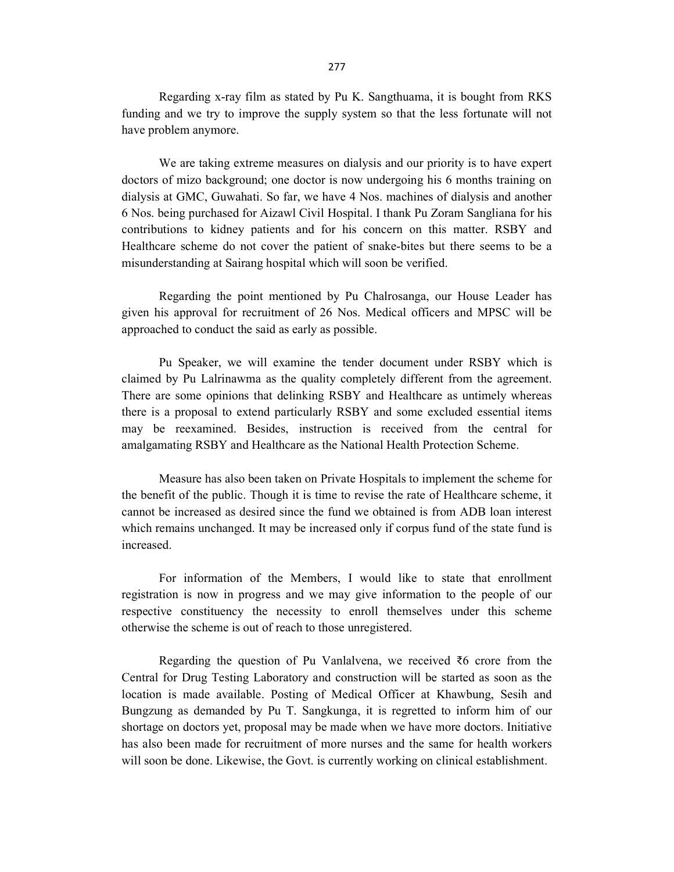Regarding x-ray film as stated by Pu K. Sangthuama, it is bought from RKS funding and we try to improve the supply system so that the less fortunate will not have problem anymore.

 We are taking extreme measures on dialysis and our priority is to have expert doctors of mizo background; one doctor is now undergoing his 6 months training on dialysis at GMC, Guwahati. So far, we have 4 Nos. machines of dialysis and another 6 Nos. being purchased for Aizawl Civil Hospital. I thank Pu Zoram Sangliana for his contributions to kidney patients and for his concern on this matter. RSBY and Healthcare scheme do not cover the patient of snake-bites but there seems to be a misunderstanding at Sairang hospital which will soon be verified.

Regarding the point mentioned by Pu Chalrosanga, our House Leader has given his approval for recruitment of 26 Nos. Medical officers and MPSC will be approached to conduct the said as early as possible.

Pu Speaker, we will examine the tender document under RSBY which is claimed by Pu Lalrinawma as the quality completely different from the agreement. There are some opinions that delinking RSBY and Healthcare as untimely whereas there is a proposal to extend particularly RSBY and some excluded essential items may be reexamined. Besides, instruction is received from the central for amalgamating RSBY and Healthcare as the National Health Protection Scheme.

 Measure has also been taken on Private Hospitals to implement the scheme for the benefit of the public. Though it is time to revise the rate of Healthcare scheme, it cannot be increased as desired since the fund we obtained is from ADB loan interest which remains unchanged. It may be increased only if corpus fund of the state fund is increased.

For information of the Members, I would like to state that enrollment registration is now in progress and we may give information to the people of our respective constituency the necessity to enroll themselves under this scheme otherwise the scheme is out of reach to those unregistered.

Regarding the question of Pu Vanlalvena, we received  $\bar{z}$ 6 crore from the Central for Drug Testing Laboratory and construction will be started as soon as the location is made available. Posting of Medical Officer at Khawbung, Sesih and Bungzung as demanded by Pu T. Sangkunga, it is regretted to inform him of our shortage on doctors yet, proposal may be made when we have more doctors. Initiative has also been made for recruitment of more nurses and the same for health workers will soon be done. Likewise, the Govt. is currently working on clinical establishment.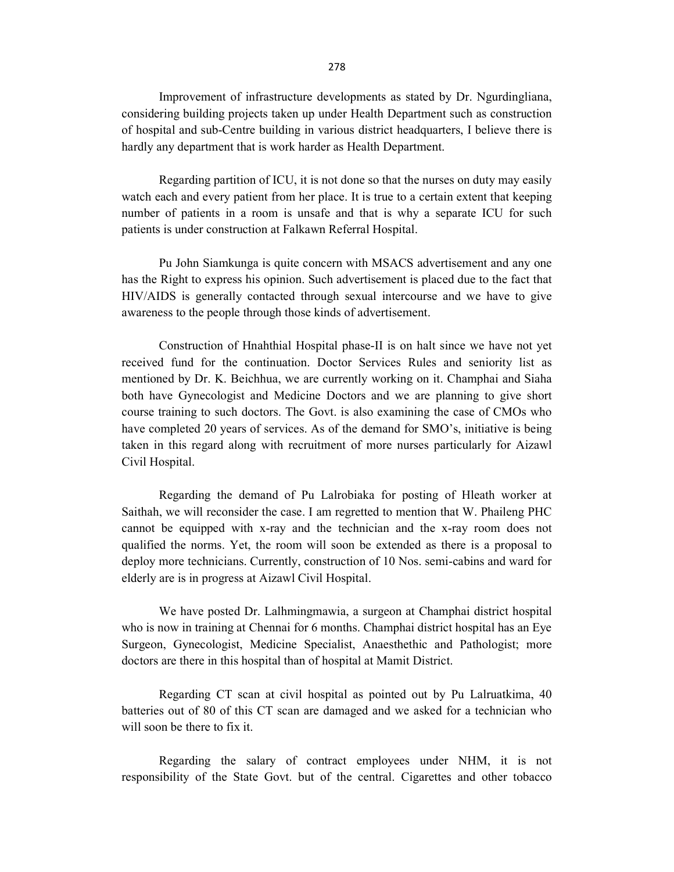Improvement of infrastructure developments as stated by Dr. Ngurdingliana, considering building projects taken up under Health Department such as construction of hospital and sub-Centre building in various district headquarters, I believe there is hardly any department that is work harder as Health Department.

Regarding partition of ICU, it is not done so that the nurses on duty may easily watch each and every patient from her place. It is true to a certain extent that keeping number of patients in a room is unsafe and that is why a separate ICU for such patients is under construction at Falkawn Referral Hospital.

Pu John Siamkunga is quite concern with MSACS advertisement and any one has the Right to express his opinion. Such advertisement is placed due to the fact that HIV/AIDS is generally contacted through sexual intercourse and we have to give awareness to the people through those kinds of advertisement.

Construction of Hnahthial Hospital phase-II is on halt since we have not yet received fund for the continuation. Doctor Services Rules and seniority list as mentioned by Dr. K. Beichhua, we are currently working on it. Champhai and Siaha both have Gynecologist and Medicine Doctors and we are planning to give short course training to such doctors. The Govt. is also examining the case of CMOs who have completed 20 years of services. As of the demand for SMO's, initiative is being taken in this regard along with recruitment of more nurses particularly for Aizawl Civil Hospital.

Regarding the demand of Pu Lalrobiaka for posting of Hleath worker at Saithah, we will reconsider the case. I am regretted to mention that W. Phaileng PHC cannot be equipped with x-ray and the technician and the x-ray room does not qualified the norms. Yet, the room will soon be extended as there is a proposal to deploy more technicians. Currently, construction of 10 Nos. semi-cabins and ward for elderly are is in progress at Aizawl Civil Hospital.

We have posted Dr. Lalhmingmawia, a surgeon at Champhai district hospital who is now in training at Chennai for 6 months. Champhai district hospital has an Eye Surgeon, Gynecologist, Medicine Specialist, Anaesthethic and Pathologist; more doctors are there in this hospital than of hospital at Mamit District.

 Regarding CT scan at civil hospital as pointed out by Pu Lalruatkima, 40 batteries out of 80 of this CT scan are damaged and we asked for a technician who will soon be there to fix it.

Regarding the salary of contract employees under NHM, it is not responsibility of the State Govt. but of the central. Cigarettes and other tobacco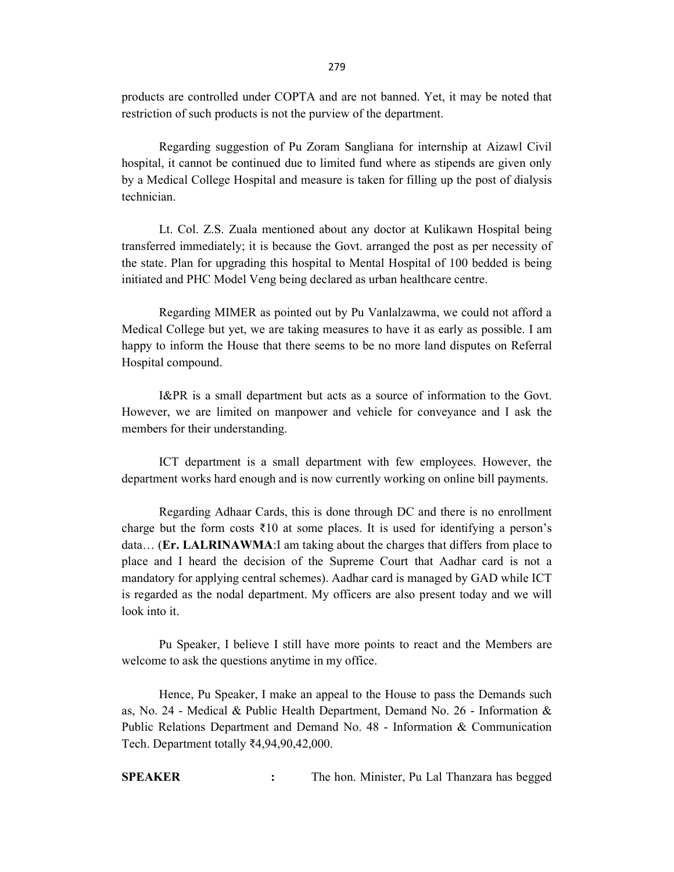products are controlled under COPTA and are not banned. Yet, it may be noted that restriction of such products is not the purview of the department.

Regarding suggestion of Pu Zoram Sangliana for internship at Aizawl Civil hospital, it cannot be continued due to limited fund where as stipends are given only by a Medical College Hospital and measure is taken for filling up the post of dialysis technician.

Lt. Col. Z.S. Zuala mentioned about any doctor at Kulikawn Hospital being transferred immediately; it is because the Govt. arranged the post as per necessity of the state. Plan for upgrading this hospital to Mental Hospital of 100 bedded is being initiated and PHC Model Veng being declared as urban healthcare centre.

Regarding MIMER as pointed out by Pu Vanlalzawma, we could not afford a Medical College but yet, we are taking measures to have it as early as possible. I am happy to inform the House that there seems to be no more land disputes on Referral Hospital compound.

I&PR is a small department but acts as a source of information to the Govt. However, we are limited on manpower and vehicle for conveyance and I ask the members for their understanding.

ICT department is a small department with few employees. However, the department works hard enough and is now currently working on online bill payments.

Regarding Adhaar Cards, this is done through DC and there is no enrollment charge but the form costs  $\bar{\xi}$ 10 at some places. It is used for identifying a person's data… (Er. LALRINAWMA:I am taking about the charges that differs from place to place and I heard the decision of the Supreme Court that Aadhar card is not a mandatory for applying central schemes). Aadhar card is managed by GAD while ICT is regarded as the nodal department. My officers are also present today and we will look into it.

 Pu Speaker, I believe I still have more points to react and the Members are welcome to ask the questions anytime in my office.

 Hence, Pu Speaker, I make an appeal to the House to pass the Demands such as, No. 24 - Medical & Public Health Department, Demand No. 26 - Information & Public Relations Department and Demand No. 48 - Information & Communication Tech. Department totally ₹4,94,90,42,000.

SPEAKER : The hon. Minister, Pu Lal Thanzara has begged